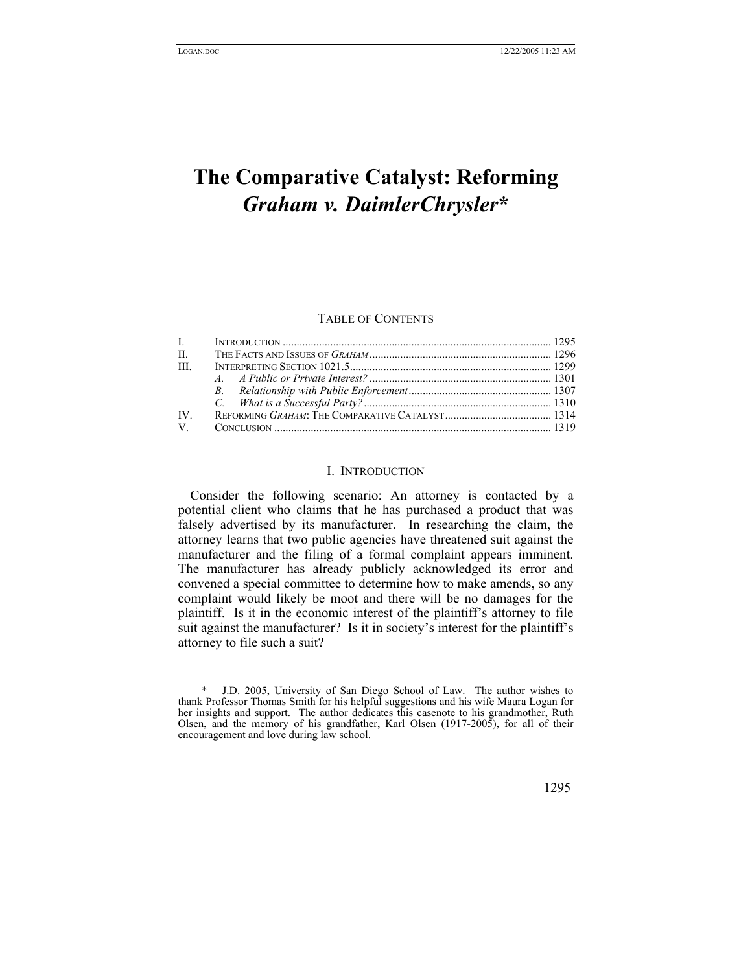# **The Comparative Catalyst: Reforming**  *Graham v. DaimlerChrysler***[\\*](#page-0-0)**

#### TABLE OF CONTENTS

| $\mathbf{L}$ |  |
|--------------|--|
| $\Pi$ .      |  |
| III.         |  |
|              |  |
|              |  |
|              |  |
| IV.          |  |
|              |  |

#### I. INTRODUCTION

Consider the following scenario: An attorney is contacted by a potential client who claims that he has purchased a product that was falsely advertised by its manufacturer. In researching the claim, the attorney learns that two public agencies have threatened suit against the manufacturer and the filing of a formal complaint appears imminent. The manufacturer has already publicly acknowledged its error and convened a special committee to determine how to make amends, so any complaint would likely be moot and there will be no damages for the plaintiff. Is it in the economic interest of the plaintiff's attorney to file suit against the manufacturer? Is it in society's interest for the plaintiff's attorney to file such a suit?

<span id="page-0-0"></span><sup>\*</sup>J.D. 2005, University of San Diego School of Law. The author wishes to thank Professor Thomas Smith for his helpful suggestions and his wife Maura Logan for her insights and support. The author dedicates this casenote to his grandmother, Ruth Olsen, and the memory of his grandfather, Karl Olsen (1917-2005), for all of their encouragement and love during law school.

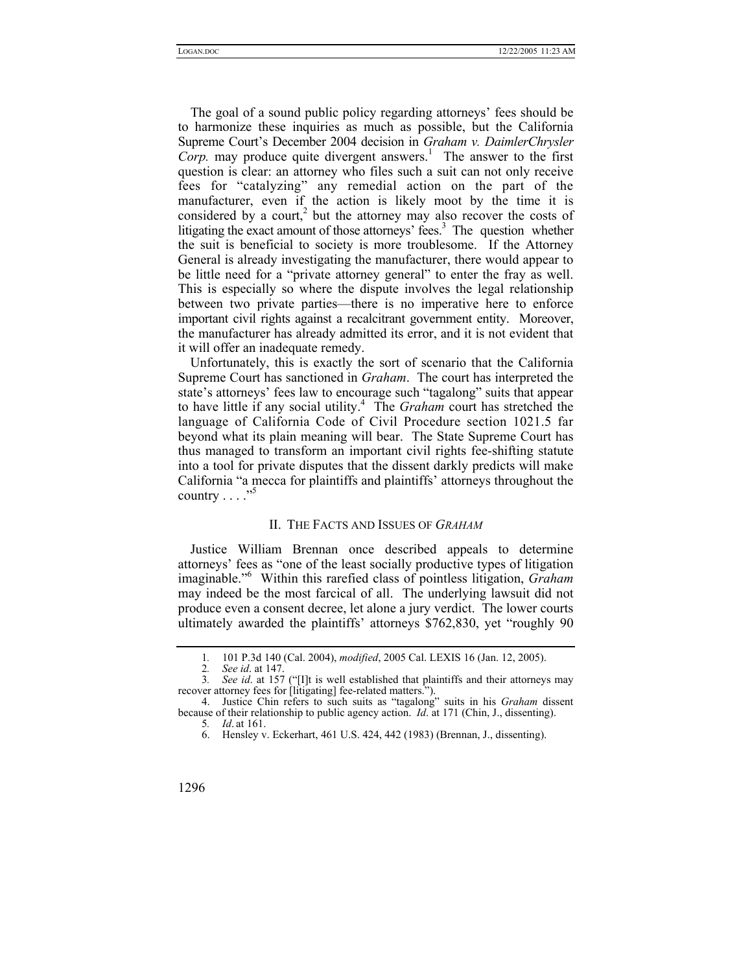The goal of a sound public policy regarding attorneys' fees should be to harmonize these inquiries as much as possible, but the California Supreme Court's December 2004 decision in *Graham v. DaimlerChrysler*   $Corp$ .may produce quite divergent answers.<sup>1</sup> The answer to the first question is clear: an attorney who files such a suit can not only receive fees for "catalyzing" any remedial action on the part of the manufacturer, even if the action is likely moot by the time it is considered by a court,<sup>[2](#page-1-1)</sup> but the attorney may also recover the costs of litigating the exact amount of those attorneys' fees.<sup>3</sup> The question whether the suit is beneficial to society is more troublesome. If the Attorney General is already investigating the manufacturer, there would appear to be little need for a "private attorney general" to enter the fray as well. This is especially so where the dispute involves the legal relationship between two private parties—there is no imperative here to enforce important civil rights against a recalcitrant government entity. Moreover, the manufacturer has already admitted its error, and it is not evident that it will offer an inadequate remedy.

Unfortunately, this is exactly the sort of scenario that the California Supreme Court has sanctioned in *Graham*. The court has interpreted the state's attorneys' fees law to encourage such "tagalong" suits that appear to have little if any social utility.[4](#page-1-3) The *Graham* court has stretched the language of California Code of Civil Procedure section 1021.5 far beyond what its plain meaning will bear. The State Supreme Court has thus managed to transform an important civil rights fee-shifting statute into a tool for private disputes that the dissent darkly predicts will make California "a mecca for plaintiffs and plaintiffs' attorneys throughout the country . . . ."[5](#page-1-4)

#### II. THE FACTS AND ISSUES OF *GRAHAM*

Justice William Brennan once described appeals to determine attorneys' fees as "one of the least socially productive types of litigation imaginable."<sup>6</sup> Within this rarefied class of pointless litigation, *Graham* may indeed be the most farcical of all. The underlying lawsuit did not produce even a consent decree, let alone a jury verdict. The lower courts ultimately awarded the plaintiffs' attorneys \$762,830, yet "roughly 90

<span id="page-1-0"></span><sup>1</sup>*.* 101 P.3d 140 (Cal. 2004), *modified*, 2005 Cal. LEXIS 16 (Jan. 12, 2005).

<span id="page-1-2"></span><span id="page-1-1"></span><sup>2</sup>*. See id*. at 147.

<sup>3</sup>*. See id*. at 157 ("[I]t is well established that plaintiffs and their attorneys may recover attorney fees for [litigating] fee-related matters.").

<sup>4.</sup> Justice Chin refers to such suits as "tagalong" suits in his *Graham* dissent because of their relationship to public agency action. *Id*. at 171 (Chin, J., dissenting).

<span id="page-1-4"></span><span id="page-1-3"></span><sup>5</sup>*. Id*. at 161.

<span id="page-1-5"></span><sup>6.</sup> Hensley v. Eckerhart, 461 U.S. 424, 442 (1983) (Brennan, J., dissenting).

<sup>1296</sup>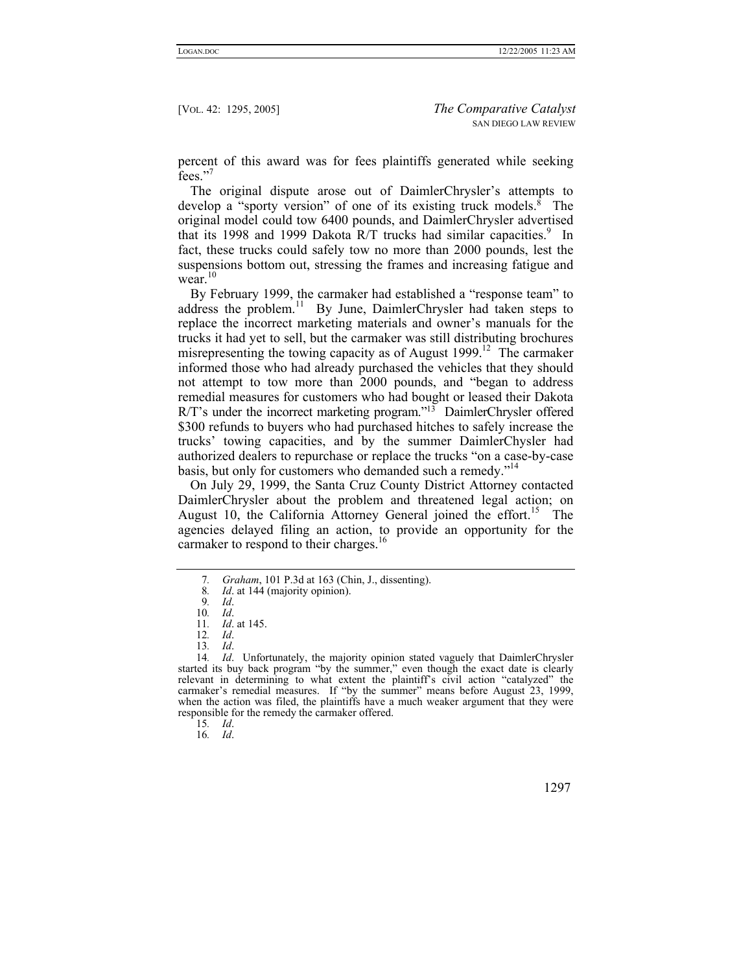percent of this award was for fees plaintiffs generated while seeking fees."<sup>[7](#page-2-0)</sup>

The original dispute arose out of DaimlerChrysler's attempts to develop a "sporty version" of one of its existing truck models. $\bar{8}$  The original model could tow 6400 pounds, and DaimlerChrysler advertised that its 1[9](#page-2-2)98 and 1999 Dakota R/T trucks had similar capacities.<sup>9</sup> In fact, these trucks could safely tow no more than 2000 pounds, lest the suspensions bottom out, stressing the frames and increasing fatigue and wear.<sup>[10](#page-2-3)</sup>

By February 1999, the carmaker had established a "response team" to address the problem.<sup>11</sup> By June, DaimlerChrysler had taken steps to replace the incorrect marketing materials and owner's manuals for the trucks it had yet to sell, but the carmaker was still distributing brochures misrepresenting the towing capacity as of August  $1999$ <sup>12</sup>. The carmaker informed those who had already purchased the vehicles that they should not attempt to tow more than 2000 pounds, and "began to address remedial measures for customers who had bought or leased their Dakota R/T's under the incorrect marketing program."[13](#page-2-6) DaimlerChrysler offered \$300 refunds to buyers who had purchased hitches to safely increase the trucks' towing capacities, and by the summer DaimlerChysler had authorized dealers to repurchase or replace the trucks "on a case-by-case basis, but only for customers who demanded such a remedy."<sup>[14](#page-2-7)</sup>

On July 29, 1999, the Santa Cruz County District Attorney contacted DaimlerChrysler about the problem and threatened legal action; on August 10, the California Attorney General joined the effort.<sup>15</sup> The agencies delayed filing an action, to provide an opportunity for the carmaker to respond to their charges.<sup>16</sup>

<span id="page-2-0"></span><sup>7</sup>*. Graham*, 101 P.3d at 163 (Chin, J., dissenting).

<span id="page-2-1"></span><sup>8</sup>*. Id*. at 144 (majority opinion).

<span id="page-2-2"></span><sup>9</sup>*. Id*.

<span id="page-2-3"></span><sup>10</sup>*. Id*. 11*. Id*. at 145.

<span id="page-2-5"></span><span id="page-2-4"></span><sup>12</sup>*. Id*.

<span id="page-2-7"></span><span id="page-2-6"></span><sup>13</sup>*. Id*.

<sup>14</sup>*. Id*. Unfortunately, the majority opinion stated vaguely that DaimlerChrysler started its buy back program "by the summer," even though the exact date is clearly relevant in determining to what extent the plaintiff's civil action "catalyzed" the carmaker's remedial measures. If "by the summer" means before August 23, 1999, when the action was filed, the plaintiffs have a much weaker argument that they were responsible for the remedy the carmaker offered.

<span id="page-2-8"></span><sup>15</sup>*. Id*.

<span id="page-2-9"></span><sup>16</sup>*. Id*.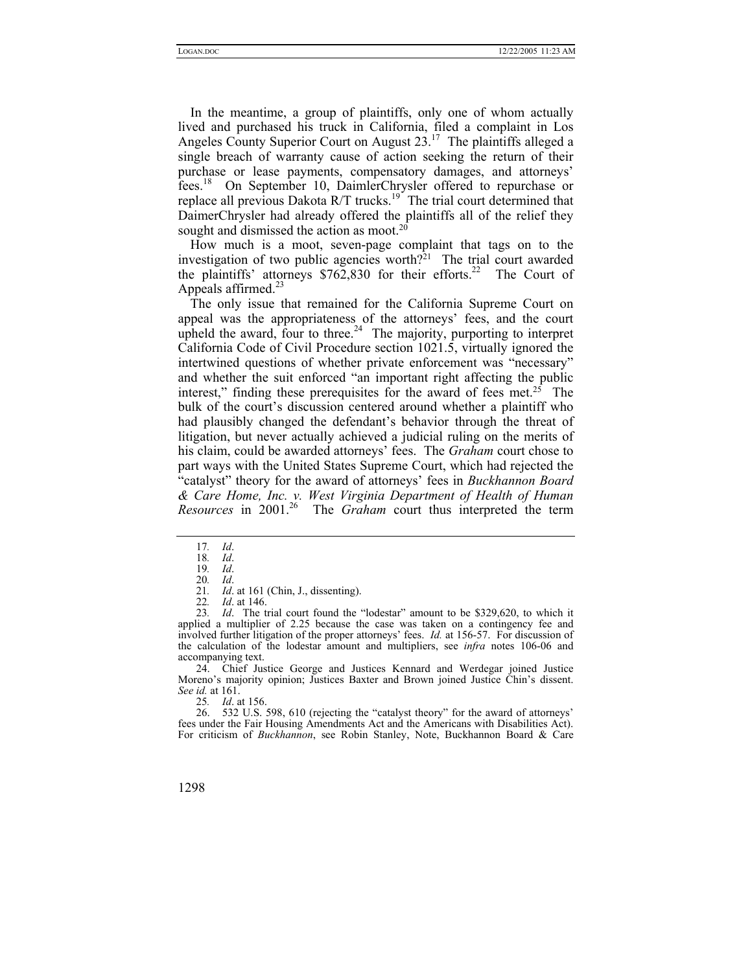In the meantime, a group of plaintiffs, only one of whom actually lived and purchased his truck in California, filed a complaint in Los Angeles County Superior Court on August  $23<sup>17</sup>$  The plaintiffs alleged a single breach of warranty cause of action seeking the return of their purchase or lease payments, compensatory damages, and attorneys' fees.[18](#page-3-1) On September 10, DaimlerChrysler offered to repurchase or replace all previous Dakota  $R/T$  trucks.<sup>19</sup> The trial court determined that DaimerChrysler had already offered the plaintiffs all of the relief they sought and dismissed the action as moot.<sup>20</sup>

How much is a moot, seven-page complaint that tags on to the investigation of two public agencies worth?<sup>21</sup> The trial court awarded the plaintiffs' attorneys  $$762,830$  for their efforts.<sup>22</sup> The Court of Appeals affirmed. $^{23}$  $^{23}$  $^{23}$ 

The only issue that remained for the California Supreme Court on appeal was the appropriateness of the attorneys' fees, and the court upheld the award, four to three.<sup>24</sup> The majority, purporting to interpret California Code of Civil Procedure section 1021.5, virtually ignored the intertwined questions of whether private enforcement was "necessary" and whether the suit enforced "an important right affecting the public interest," finding these prerequisites for the award of fees met.<sup>25</sup> The bulk of the court's discussion centered around whether a plaintiff who had plausibly changed the defendant's behavior through the threat of litigation, but never actually achieved a judicial ruling on the merits of his claim, could be awarded attorneys' fees. The *Graham* court chose to part ways with the United States Supreme Court, which had rejected the "catalyst" theory for the award of attorneys' fees in *Buckhannon Board & Care Home, Inc. v. West Virginia Department of Health of Human Resources* in 2001.<sup>26</sup> The *Graham* court thus interpreted the term

<span id="page-3-6"></span><span id="page-3-5"></span>22*. Id*. at 146.

23*. Id*. The trial court found the "lodestar" amount to be \$329,620, to which it applied a multiplier of 2.25 because the case was taken on a contingency fee and involved further litigation of the proper attorneys' fees. *Id.* at 156-57. For discussion of the calculation of the lodestar amount and multipliers, see *infra* notes 106-06 and accompanying text.

<span id="page-3-7"></span>24. Chief Justice George and Justices Kennard and Werdegar joined Justice Moreno's majority opinion; Justices Baxter and Brown joined Justice Chin's dissent. *See id.* at 161.

<span id="page-3-9"></span><span id="page-3-8"></span>25*. Id*. at 156.

26. 532 U.S. 598, 610 (rejecting the "catalyst theory" for the award of attorneys' fees under the Fair Housing Amendments Act and the Americans with Disabilities Act). For criticism of *Buckhannon*, see Robin Stanley, Note, Buckhannon Board & Care

<span id="page-3-0"></span><sup>17</sup>*. Id*.

<span id="page-3-1"></span><sup>18</sup>*. Id*. 19*. Id*.

<span id="page-3-3"></span><span id="page-3-2"></span><sup>20</sup>*. Id*.

<span id="page-3-4"></span><sup>21</sup>*. Id*. at 161 (Chin, J., dissenting).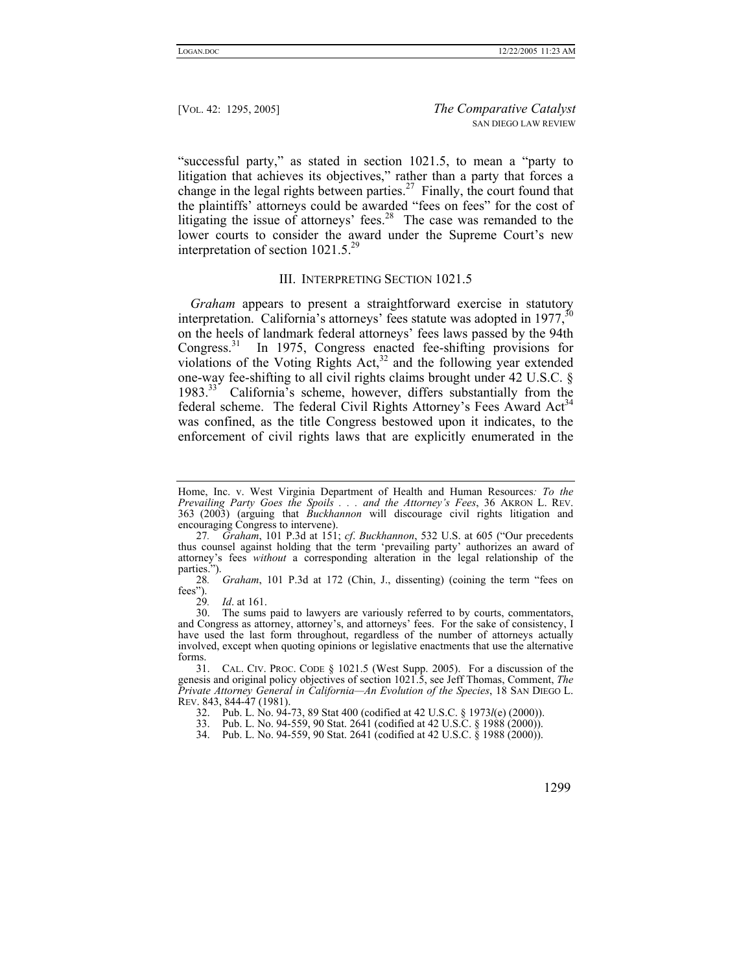"successful party," as stated in section 1021.5, to mean a "party to litigation that achieves its objectives," rather than a party that forces a change in the legal rights between parties.<sup>27</sup> Finally, the court found that the plaintiffs' attorneys could be awarded "fees on fees" for the cost of litigating the issue of attorneys' fees.<sup>28</sup> The case was remanded to the lower courts to consider the award under the Supreme Court's new interpretation of section 1021.5.<sup>29</sup>

## III. INTERPRETING SECTION 1021.5

*Graham* appears to present a straightforward exercise in statutory interpretation. California's attorneys' fees statute was adopted in  $1977$ ,  $^{30}$ on the heels of landmark federal attorneys' fees laws passed by the 94th Congress.[31](#page-4-4) In 1975, Congress enacted fee-shifting provisions for violations of the Voting Rights Act, $3<sup>2</sup>$  and the following year extended one-way fee-shifting to all civil rights claims brought under 42 U.S.C. § 1983.[33](#page-4-6) California's scheme, however, differs substantially from the federal scheme. The federal Civil Rights Attorney's Fees Award Act<sup>34</sup> was confined, as the title Congress bestowed upon it indicates, to the enforcement of civil rights laws that are explicitly enumerated in the

<span id="page-4-3"></span><span id="page-4-2"></span>29*. Id*. at 161.

Home, Inc. v. West Virginia Department of Health and Human Resources*: To the Prevailing Party Goes the Spoils . . . and the Attorney's Fees*, 36 AKRON L. REV. 363 (2003) (arguing that *Buckhannon* will discourage civil rights litigation and encouraging Congress to intervene).

<span id="page-4-0"></span><sup>27</sup>*. Graham*, 101 P.3d at 151; *cf*. *Buckhannon*, 532 U.S. at 605 ("Our precedents thus counsel against holding that the term 'prevailing party' authorizes an award of attorney's fees *without* a corresponding alteration in the legal relationship of the parties.").

<span id="page-4-1"></span><sup>28</sup>*. Graham*, 101 P.3d at 172 (Chin, J., dissenting) (coining the term "fees on fees").<br>29.

The sums paid to lawyers are variously referred to by courts, commentators, and Congress as attorney, attorney's, and attorneys' fees. For the sake of consistency, I have used the last form throughout, regardless of the number of attorneys actually involved, except when quoting opinions or legislative enactments that use the alternative forms.

<span id="page-4-4"></span><sup>31.</sup> CAL. CIV. PROC. CODE § 1021.5 (West Supp. 2005). For a discussion of the genesis and original policy objectives of section 1021.5, see Jeff Thomas, Comment, *The Private Attorney General in California—An Evolution of the Species*, 18 SAN DIEGO L. REV. 843, 844-47 (1981).

<span id="page-4-5"></span><sup>32.</sup> Pub. L. No. 94-73, 89 Stat 400 (codified at 42 U.S.C. § 1973*l*(e) (2000)).

<span id="page-4-6"></span><sup>33.</sup> Pub. L. No. 94-559, 90 Stat. 2641 (codified at 42 U.S.C. § 1988 (2000)).

<span id="page-4-7"></span><sup>34.</sup> Pub. L. No. 94-559, 90 Stat. 2641 (codified at 42 U.S.C. § 1988 (2000)).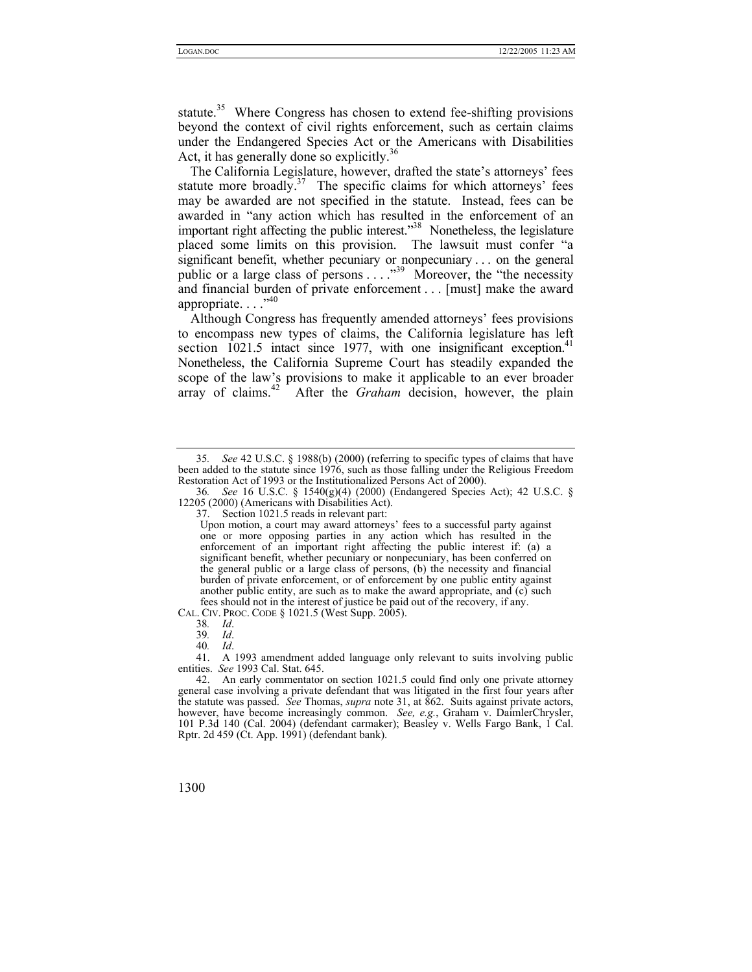statute.<sup>35</sup> Where Congress has chosen to extend fee-shifting provisions beyond the context of civil rights enforcement, such as certain claims under the Endangered Species Act or the Americans with Disabilities Act, it has generally done so explicitly.<sup>[36](#page-5-1)</sup>

The California Legislature, however, drafted the state's attorneys' fees statute more broadly.<sup>37</sup> The specific claims for which attorneys' fees may be awarded are not specified in the statute. Instead, fees can be awarded in "any action which has resulted in the enforcement of an important right affecting the public interest.<sup>38</sup> Nonetheless, the legislature placed some limits on this provision. The lawsuit must confer "a significant benefit, whether pecuniary or nonpecuniary . . . on the general public or a large class of persons . . . ."[39](#page-5-4) Moreover, the "the necessity and financial burden of private enforcement . . . [must] make the award appropriate.  $\ldots$ <sup>.,40</sup>

Although Congress has frequently amended attorneys' fees provisions to encompass new types of claims, the California legislature has left section 1021.5 intact since 1977, with one insignificant exception.<sup>41</sup> Nonetheless, the California Supreme Court has steadily expanded the scope of the law's provisions to make it applicable to an ever broader array of claims.<sup>42</sup> After the *Graham* decision, however, the plain

CAL. CIV. PROC. CODE § 1021.5 (West Supp. 2005).

<span id="page-5-0"></span><sup>35</sup>*. See* 42 U.S.C. § 1988(b) (2000) (referring to specific types of claims that have been added to the statute since 1976, such as those falling under the Religious Freedom Restoration Act of 1993 or the Institutionalized Persons Act of 2000).

<span id="page-5-1"></span><sup>36</sup>*. See* 16 U.S.C. § 1540(g)(4) (2000) (Endangered Species Act); 42 U.S.C. § 12205 (2000) (Americans with Disabilities Act).

<span id="page-5-2"></span><sup>37.</sup> Section 1021.5 reads in relevant part:

Upon motion, a court may award attorneys' fees to a successful party against one or more opposing parties in any action which has resulted in the enforcement of an important right affecting the public interest if: (a) a significant benefit, whether pecuniary or nonpecuniary, has been conferred on the general public or a large class of persons, (b) the necessity and financial burden of private enforcement, or of enforcement by one public entity against another public entity, are such as to make the award appropriate, and (c) such fees should not in the interest of justice be paid out of the recovery, if any.

<span id="page-5-3"></span><sup>38</sup>*. Id*.

<span id="page-5-4"></span><sup>39</sup>*. Id*.

<span id="page-5-6"></span><span id="page-5-5"></span><sup>40</sup>*. Id*.

<sup>41.</sup> A 1993 amendment added language only relevant to suits involving public entities. *See* 1993 Cal. Stat. 645.

<span id="page-5-7"></span><sup>42.</sup> An early commentator on section 1021.5 could find only one private attorney general case involving a private defendant that was litigated in the first four years after the statute was passed. *See* Thomas, *supra* note 31, at 862. Suits against private actors, however, have become increasingly common. *See, e.g.*, Graham v. DaimlerChrysler, 101 P.3d 140 (Cal. 2004) (defendant carmaker); Beasley v. Wells Fargo Bank, 1 Cal. Rptr. 2d 459 (Ct. App. 1991) (defendant bank).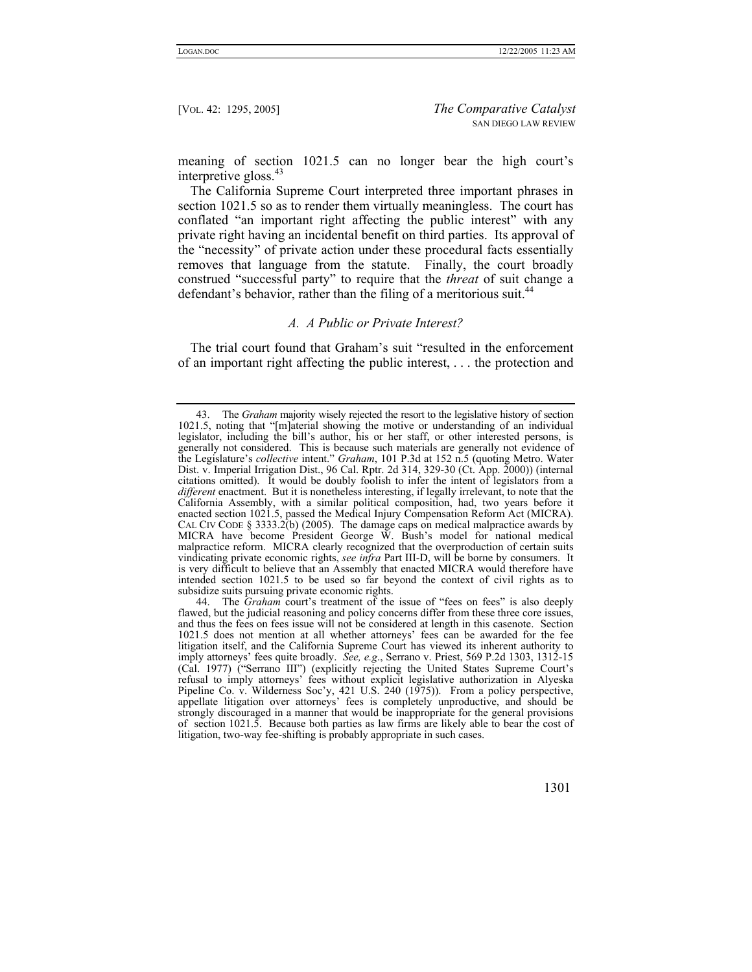meaning of section 1021.5 can no longer bear the high court's interpretive gloss.<sup>[43](#page-6-0)</sup>

The California Supreme Court interpreted three important phrases in section 1021.5 so as to render them virtually meaningless. The court has conflated "an important right affecting the public interest" with any private right having an incidental benefit on third parties. Its approval of the "necessity" of private action under these procedural facts essentially removes that language from the statute. Finally, the court broadly construed "successful party" to require that the *threat* of suit change a defendant's behavior, rather than the filing of a meritorious suit.<sup>[44](#page-6-1)</sup>

## *A. A Public or Private Interest?*

The trial court found that Graham's suit "resulted in the enforcement of an important right affecting the public interest, . . . the protection and

<span id="page-6-0"></span><sup>43.</sup> The *Graham* majority wisely rejected the resort to the legislative history of section 1021.5, noting that "[m]aterial showing the motive or understanding of an individual legislator, including the bill's author, his or her staff, or other interested persons, is generally not considered. This is because such materials are generally not evidence of the Legislature's *collective* intent." *Graham*, 101 P.3d at 152 n.5 (quoting Metro. Water Dist. v. Imperial Irrigation Dist., 96 Cal. Rptr. 2d 314, 329-30 (Ct. App. 2000)) (internal citations omitted). It would be doubly foolish to infer the intent of legislators from a *different* enactment. But it is nonetheless interesting, if legally irrelevant, to note that the California Assembly, with a similar political composition, had, two years before it enacted section 1021.5, passed the Medical Injury Compensation Reform Act (MICRA). CAL CIV CODE § 3333.2(b) (2005). The damage caps on medical malpractice awards by MICRA have become President George W. Bush's model for national medical malpractice reform. MICRA clearly recognized that the overproduction of certain suits vindicating private economic rights, *see infra* Part III-D, will be borne by consumers. It is very difficult to believe that an Assembly that enacted MICRA would therefore have intended section 1021.5 to be used so far beyond the context of civil rights as to subsidize suits pursuing private economic rights.

<span id="page-6-1"></span><sup>44.</sup> The *Graham* court's treatment of the issue of "fees on fees" is also deeply flawed, but the judicial reasoning and policy concerns differ from these three core issues, and thus the fees on fees issue will not be considered at length in this casenote. Section 1021.5 does not mention at all whether attorneys' fees can be awarded for the fee litigation itself, and the California Supreme Court has viewed its inherent authority to imply attorneys' fees quite broadly. *See, e.g*., Serrano v. Priest, 569 P.2d 1303, 1312-15 (Cal. 1977) ("Serrano III") (explicitly rejecting the United States Supreme Court's refusal to imply attorneys' fees without explicit legislative authorization in Alyeska Pipeline Co. v. Wilderness Soc'y, 421 U.S. 240 (1975)). From a policy perspective, appellate litigation over attorneys' fees is completely unproductive, and should be strongly discouraged in a manner that would be inappropriate for the general provisions of section 1021.5. Because both parties as law firms are likely able to bear the cost of litigation, two-way fee-shifting is probably appropriate in such cases.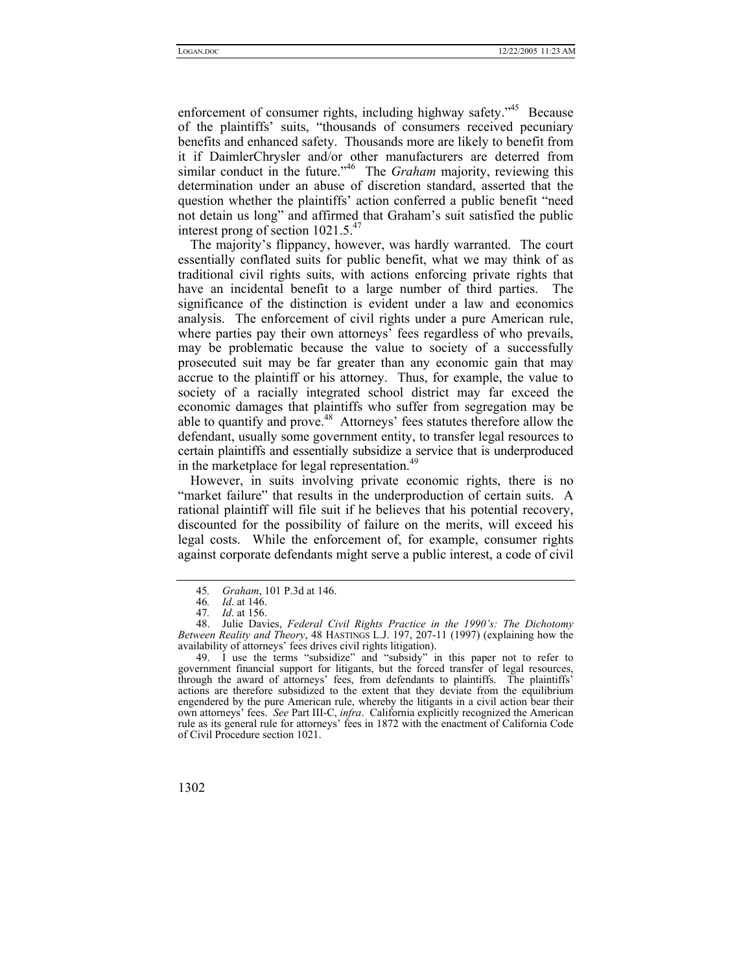enforcement of consumer rights, including highway safety."[45](#page-7-0) Because of the plaintiffs' suits, "thousands of consumers received pecuniary benefits and enhanced safety. Thousands more are likely to benefit from it if DaimlerChrysler and/or other manufacturers are deterred from similar conduct in the future."<sup>46</sup> The *Graham* majority, reviewing this determination under an abuse of discretion standard, asserted that the question whether the plaintiffs' action conferred a public benefit "need not detain us long" and affirmed that Graham's suit satisfied the public interest prong of section  $1021.5^{47}$  $1021.5^{47}$  $1021.5^{47}$ 

The majority's flippancy, however, was hardly warranted. The court essentially conflated suits for public benefit, what we may think of as traditional civil rights suits, with actions enforcing private rights that have an incidental benefit to a large number of third parties. The significance of the distinction is evident under a law and economics analysis. The enforcement of civil rights under a pure American rule, where parties pay their own attorneys' fees regardless of who prevails, may be problematic because the value to society of a successfully prosecuted suit may be far greater than any economic gain that may accrue to the plaintiff or his attorney. Thus, for example, the value to society of a racially integrated school district may far exceed the economic damages that plaintiffs who suffer from segregation may be able to quantify and prove.<sup>48</sup> Attorneys' fees statutes therefore allow the defendant, usually some government entity, to transfer legal resources to certain plaintiffs and essentially subsidize a service that is underproduced in the marketplace for legal representation.<sup>[49](#page-7-4)</sup>

However, in suits involving private economic rights, there is no "market failure" that results in the underproduction of certain suits. A rational plaintiff will file suit if he believes that his potential recovery, discounted for the possibility of failure on the merits, will exceed his legal costs. While the enforcement of, for example, consumer rights against corporate defendants might serve a public interest, a code of civil

<span id="page-7-4"></span><sup>49.</sup> I use the terms "subsidize" and "subsidy" in this paper not to refer to government financial support for litigants, but the forced transfer of legal resources, through the award of attorneys' fees, from defendants to plaintiffs. The plaintiffs' actions are therefore subsidized to the extent that they deviate from the equilibrium engendered by the pure American rule, whereby the litigants in a civil action bear their own attorneys' fees. *See* Part III-C, *infra*. California explicitly recognized the American rule as its general rule for attorneys' fees in 1872 with the enactment of California Code of Civil Procedure section 1021.



<span id="page-7-0"></span><sup>45</sup>*. Graham*, 101 P.3d at 146.

<span id="page-7-1"></span><sup>46</sup>*. Id*. at 146.

<span id="page-7-3"></span><span id="page-7-2"></span><sup>47</sup>*. Id*. at 156.

<sup>48.</sup> Julie Davies, *Federal Civil Rights Practice in the 1990's: The Dichotomy Between Reality and Theory*, 48 HASTINGS L.J. 197, 207-11 (1997) (explaining how the availability of attorneys' fees drives civil rights litigation).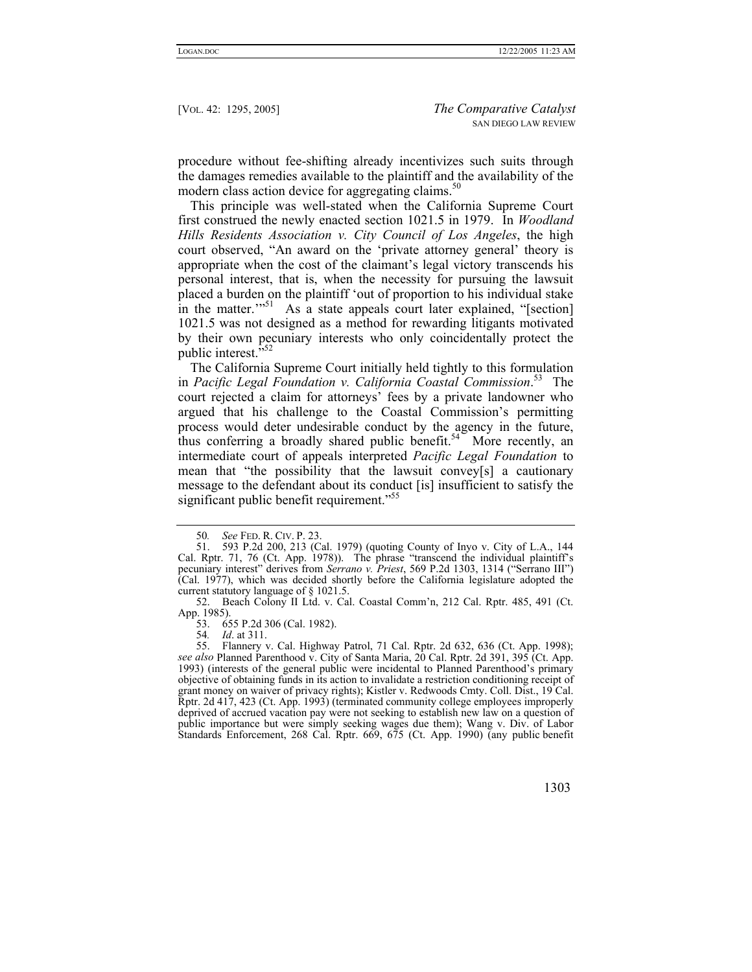procedure without fee-shifting already incentivizes such suits through the damages remedies available to the plaintiff and the availability of the modern class action device for aggregating claims.<sup>[50](#page-8-0)</sup>

This principle was well-stated when the California Supreme Court first construed the newly enacted section 1021.5 in 1979. In *Woodland Hills Residents Association v. City Council of Los Angeles*, the high court observed, "An award on the 'private attorney general' theory is appropriate when the cost of the claimant's legal victory transcends his personal interest, that is, when the necessity for pursuing the lawsuit placed a burden on the plaintiff 'out of proportion to his individual stake in the matter." $51$  As a state appeals court later explained, "[section] 1021.5 was not designed as a method for rewarding litigants motivated by their own pecuniary interests who only coincidentally protect the public interest."

The California Supreme Court initially held tightly to this formulation in *Pacific Legal Foundation v. California Coastal Commission*. [53](#page-8-3) The court rejected a claim for attorneys' fees by a private landowner who argued that his challenge to the Coastal Commission's permitting process would deter undesirable conduct by the agency in the future, thus conferring a broadly shared public benefit.<sup>54</sup> More recently, an intermediate court of appeals interpreted *Pacific Legal Foundation* to mean that "the possibility that the lawsuit convey[s] a cautionary message to the defendant about its conduct [is] insufficient to satisfy the significant public benefit requirement."<sup>[55](#page-8-5)</sup>

<span id="page-8-1"></span><span id="page-8-0"></span><sup>50</sup>*. See* FED. R. CIV. P. 23.

<sup>51. 593</sup> P.2d 200, 213 (Cal. 1979) (quoting County of Inyo v. City of L.A., 144 Cal. Rptr. 71, 76 (Ct. App. 1978)). The phrase "transcend the individual plaintiff's pecuniary interest" derives from *Serrano v. Priest*, 569 P.2d 1303, 1314 ("Serrano III") (Cal. 1977), which was decided shortly before the California legislature adopted the current statutory language of § 1021.5.

<span id="page-8-2"></span><sup>52.</sup> Beach Colony II Ltd. v. Cal. Coastal Comm'n, 212 Cal. Rptr. 485, 491 (Ct. App. 1985).

<span id="page-8-3"></span><sup>53. 655</sup> P.2d 306 (Cal. 1982).<br>54. *Id.* at 311.

<span id="page-8-5"></span><span id="page-8-4"></span><sup>54</sup>*. Id*. at 311.

<sup>55.</sup> Flannery v. Cal. Highway Patrol, 71 Cal. Rptr. 2d 632, 636 (Ct. App. 1998); *see also* Planned Parenthood v. City of Santa Maria, 20 Cal. Rptr. 2d 391, 395 (Ct. App. 1993) (interests of the general public were incidental to Planned Parenthood's primary objective of obtaining funds in its action to invalidate a restriction conditioning receipt of grant money on waiver of privacy rights); Kistler v. Redwoods Cmty. Coll. Dist., 19 Cal. Rptr. 2d 417, 423 (Ct. App. 1993) (terminated community college employees improperly deprived of accrued vacation pay were not seeking to establish new law on a question of public importance but were simply seeking wages due them); Wang v. Div. of Labor Standards Enforcement, 268 Cal. Rptr. 669, 675 (Ct. App. 1990) (any public benefit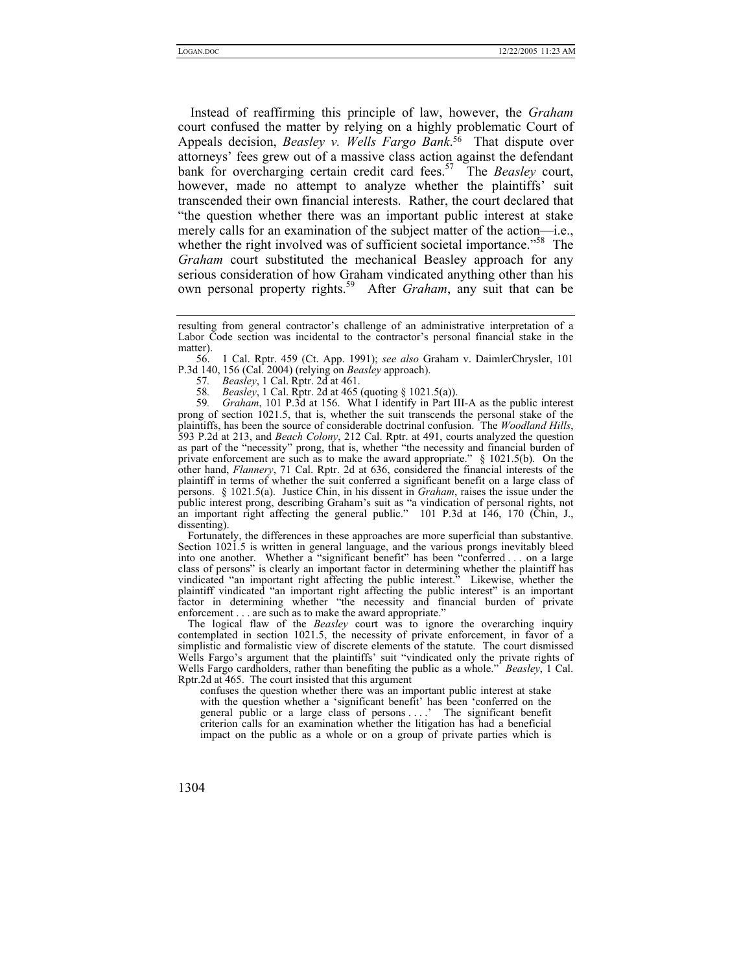Instead of reaffirming this principle of law, however, the *Graham* court confused the matter by relying on a highly problematic Court of Appeals decision, *Beasley v. Wells Fargo Bank*. [56](#page-9-0) That dispute over attorneys' fees grew out of a massive class action against the defendant bank for overcharging certain credit card fees.[57](#page-9-1) The *Beasley* court, however, made no attempt to analyze whether the plaintiffs' suit transcended their own financial interests. Rather, the court declared that "the question whether there was an important public interest at stake merely calls for an examination of the subject matter of the action—i.e., whether the right involved was of sufficient societal importance.<sup>"58</sup> The *Graham* court substituted the mechanical Beasley approach for any serious consideration of how Graham vindicated anything other than his own personal property rights.[59](#page-9-3) After *Graham*, any suit that can be

<span id="page-9-0"></span>56. 1 Cal. Rptr. 459 (Ct. App. 1991); *see also* Graham v. DaimlerChrysler, 101 P.3d 140, 156 (Cal. 2004) (relying on *Beasley* approach).

<span id="page-9-1"></span>57*. Beasley*, 1 Cal. Rptr. 2d at 461.

<span id="page-9-3"></span><span id="page-9-2"></span>58*. Beasley*, 1 Cal. Rptr. 2d at 465 (quoting § 1021.5(a)).

59*. Graham*, 101 P.3d at 156. What I identify in Part III-A as the public interest prong of section 1021.5, that is, whether the suit transcends the personal stake of the plaintiffs, has been the source of considerable doctrinal confusion. The *Woodland Hills*, 593 P.2d at 213, and *Beach Colony*, 212 Cal. Rptr. at 491, courts analyzed the question as part of the "necessity" prong, that is, whether "the necessity and financial burden of private enforcement are such as to make the award appropriate." § 1021.5(b). On the other hand, *Flannery*, 71 Cal. Rptr. 2d at 636, considered the financial interests of the plaintiff in terms of whether the suit conferred a significant benefit on a large class of persons. § 1021.5(a). Justice Chin, in his dissent in *Graham*, raises the issue under the public interest prong, describing Graham's suit as "a vindication of personal rights, not an important right affecting the general public." 101 P.3d at 146, 170 (Chin, J., dissenting).

Fortunately, the differences in these approaches are more superficial than substantive. Section 1021.5 is written in general language, and the various prongs inevitably bleed into one another. Whether a "significant benefit" has been "conferred . . . on a large class of persons" is clearly an important factor in determining whether the plaintiff has vindicated "an important right affecting the public interest." Likewise, whether the plaintiff vindicated "an important right affecting the public interest" is an important factor in determining whether "the necessity and financial burden of private enforcement . . . are such as to make the award appropriate."

The logical flaw of the *Beasley* court was to ignore the overarching inquiry contemplated in section 1021.5, the necessity of private enforcement, in favor of a simplistic and formalistic view of discrete elements of the statute. The court dismissed Wells Fargo's argument that the plaintiffs' suit "vindicated only the private rights of Wells Fargo cardholders, rather than benefiting the public as a whole." *Beasley*, 1 Cal. Rptr.2d at 465. The court insisted that this argument

confuses the question whether there was an important public interest at stake with the question whether a 'significant benefit' has been 'conferred on the general public or a large class of persons . . . .' The significant benefit criterion calls for an examination whether the litigation has had a beneficial impact on the public as a whole or on a group of private parties which is

resulting from general contractor's challenge of an administrative interpretation of a Labor Code section was incidental to the contractor's personal financial stake in the matter).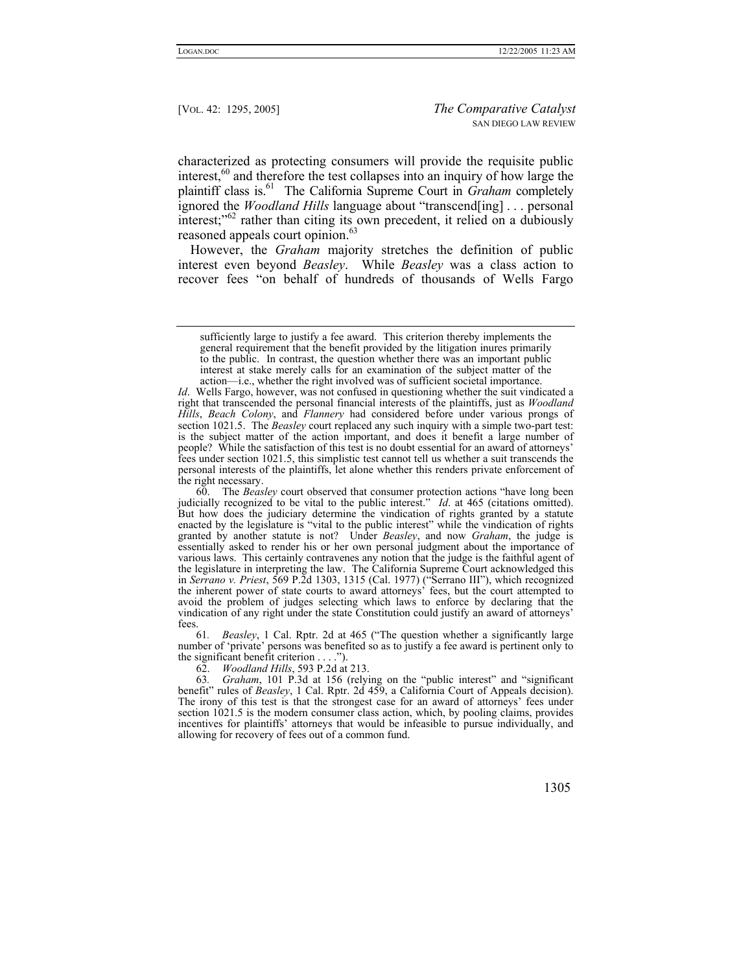characterized as protecting consumers will provide the requisite public interest, $60$  and therefore the test collapses into an inquiry of how large the plaintiff class is.<sup>61</sup> The California Supreme Court in *Graham* completely ignored the *Woodland Hills* language about "transcend[ing] . . . personal interest; $^{62}$  rather than citing its own precedent, it relied on a dubiously reasoned appeals court opinion.<sup>[63](#page-10-3)</sup>

However, the *Graham* majority stretches the definition of public interest even beyond *Beasley*. While *Beasley* was a class action to recover fees "on behalf of hundreds of thousands of Wells Fargo

<span id="page-10-1"></span>61*. Beasley*, 1 Cal. Rptr. 2d at 465 ("The question whether a significantly large number of 'private' persons was benefited so as to justify a fee award is pertinent only to the significant benefit criterion . . . .").

<span id="page-10-3"></span><span id="page-10-2"></span>62. *Woodland Hills*, 593 P.2d at 213.

63*. Graham*, 101 P.3d at 156 (relying on the "public interest" and "significant benefit" rules of *Beasley*, 1 Cal. Rptr. 2d 459, a California Court of Appeals decision). The irony of this test is that the strongest case for an award of attorneys' fees under section 1021.5 is the modern consumer class action, which, by pooling claims, provides incentives for plaintiffs' attorneys that would be infeasible to pursue individually, and allowing for recovery of fees out of a common fund.

sufficiently large to justify a fee award. This criterion thereby implements the general requirement that the benefit provided by the litigation inures primarily to the public. In contrast, the question whether there was an important public interest at stake merely calls for an examination of the subject matter of the action—i.e., whether the right involved was of sufficient societal importance.

*Id.* Wells Fargo, however, was not confused in questioning whether the suit vindicated a right that transcended the personal financial interests of the plaintiffs, just as *Woodland Hills*, *Beach Colony*, and *Flannery* had considered before under various prongs of section 1021.5. The *Beasley* court replaced any such inquiry with a simple two-part test: is the subject matter of the action important, and does it benefit a large number of people? While the satisfaction of this test is no doubt essential for an award of attorneys' fees under section 1021.5, this simplistic test cannot tell us whether a suit transcends the personal interests of the plaintiffs, let alone whether this renders private enforcement of the right necessary.

<span id="page-10-0"></span><sup>60.</sup> The *Beasley* court observed that consumer protection actions "have long been judicially recognized to be vital to the public interest." *Id*. at 465 (citations omitted). But how does the judiciary determine the vindication of rights granted by a statute enacted by the legislature is "vital to the public interest" while the vindication of rights granted by another statute is not? Under *Beasley*, and now *Graham*, the judge is essentially asked to render his or her own personal judgment about the importance of various laws. This certainly contravenes any notion that the judge is the faithful agent of the legislature in interpreting the law. The California Supreme Court acknowledged this in *Serrano v. Priest*, 569 P.2d 1303, 1315 (Cal. 1977) ("Serrano III"), which recognized the inherent power of state courts to award attorneys' fees, but the court attempted to avoid the problem of judges selecting which laws to enforce by declaring that the vindication of any right under the state Constitution could justify an award of attorneys' fees.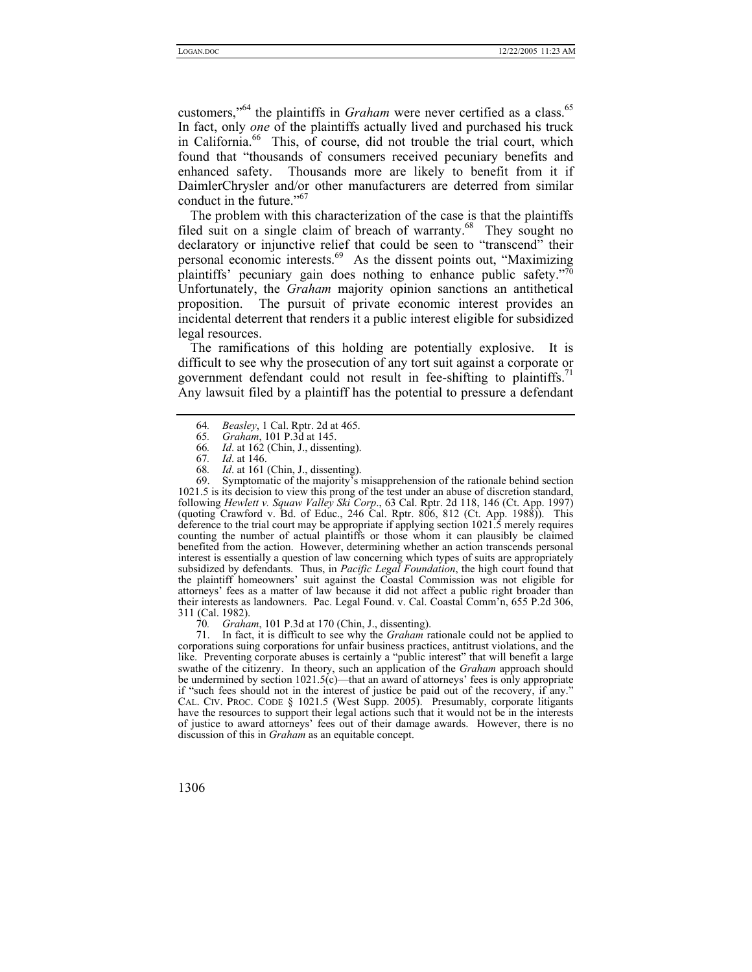customers,"<sup>64</sup> the plaintiffs in *Graham* were never certified as a class.<sup>65</sup> In fact, only *one* of the plaintiffs actually lived and purchased his truck in California.<sup>66</sup> This, of course, did not trouble the trial court, which found that "thousands of consumers received pecuniary benefits and enhanced safety. Thousands more are likely to benefit from it if DaimlerChrysler and/or other manufacturers are deterred from similar conduct in the future."[67](#page-11-3)

The problem with this characterization of the case is that the plaintiffs filed suit on a single claim of breach of warranty.<sup>68</sup> They sought no declaratory or injunctive relief that could be seen to "transcend" their personal economic interests.[69](#page-11-5) As the dissent points out, "Maximizing plaintiffs' pecuniary gain does nothing to enhance public safety.["70](#page-11-6)  Unfortunately, the *Graham* majority opinion sanctions an antithetical proposition. The pursuit of private economic interest provides an incidental deterrent that renders it a public interest eligible for subsidized legal resources.

The ramifications of this holding are potentially explosive. It is difficult to see why the prosecution of any tort suit against a corporate or government defendant could not result in fee-shifting to plaintiffs.<sup>71</sup> Any lawsuit filed by a plaintiff has the potential to pressure a defendant

- <span id="page-11-2"></span>*Id.* at 162 (Chin, J., dissenting).
- <span id="page-11-3"></span>67*. Id*. at 146.
- <span id="page-11-5"></span><span id="page-11-4"></span>68*. Id*. at 161 (Chin, J., dissenting).

69. Symptomatic of the majority's misapprehension of the rationale behind section 1021.5 is its decision to view this prong of the test under an abuse of discretion standard, following *Hewlett v. Squaw Valley Ski Corp*., 63 Cal. Rptr. 2d 118, 146 (Ct. App. 1997) (quoting Crawford v. Bd. of Educ., 246 Cal. Rptr. 806, 812 (Ct. App. 1988)). This deference to the trial court may be appropriate if applying section 1021.5 merely requires counting the number of actual plaintiffs or those whom it can plausibly be claimed benefited from the action. However, determining whether an action transcends personal interest is essentially a question of law concerning which types of suits are appropriately subsidized by defendants. Thus, in *Pacific Legal Foundation*, the high court found that the plaintiff homeowners' suit against the Coastal Commission was not eligible for attorneys' fees as a matter of law because it did not affect a public right broader than their interests as landowners. Pac. Legal Found. v. Cal. Coastal Comm'n, 655 P.2d 306, 311 (Cal. 1982).

<span id="page-11-7"></span><span id="page-11-6"></span>70*. Graham*, 101 P.3d at 170 (Chin, J., dissenting).

71. In fact, it is difficult to see why the *Graham* rationale could not be applied to corporations suing corporations for unfair business practices, antitrust violations, and the like. Preventing corporate abuses is certainly a "public interest" that will benefit a large swathe of the citizenry. In theory, such an application of the *Graham* approach should be undermined by section 1021.5(c)—that an award of attorneys' fees is only appropriate if "such fees should not in the interest of justice be paid out of the recovery, if any." CAL. CIV. PROC. CODE § 1021.5 (West Supp. 2005). Presumably, corporate litigants have the resources to support their legal actions such that it would not be in the interests of justice to award attorneys' fees out of their damage awards. However, there is no discussion of this in *Graham* as an equitable concept.

<span id="page-11-0"></span><sup>64</sup>*. Beasley*, 1 Cal. Rptr. 2d at 465.

<span id="page-11-1"></span><sup>65</sup>*. Graham*, 101 P.3d at 145.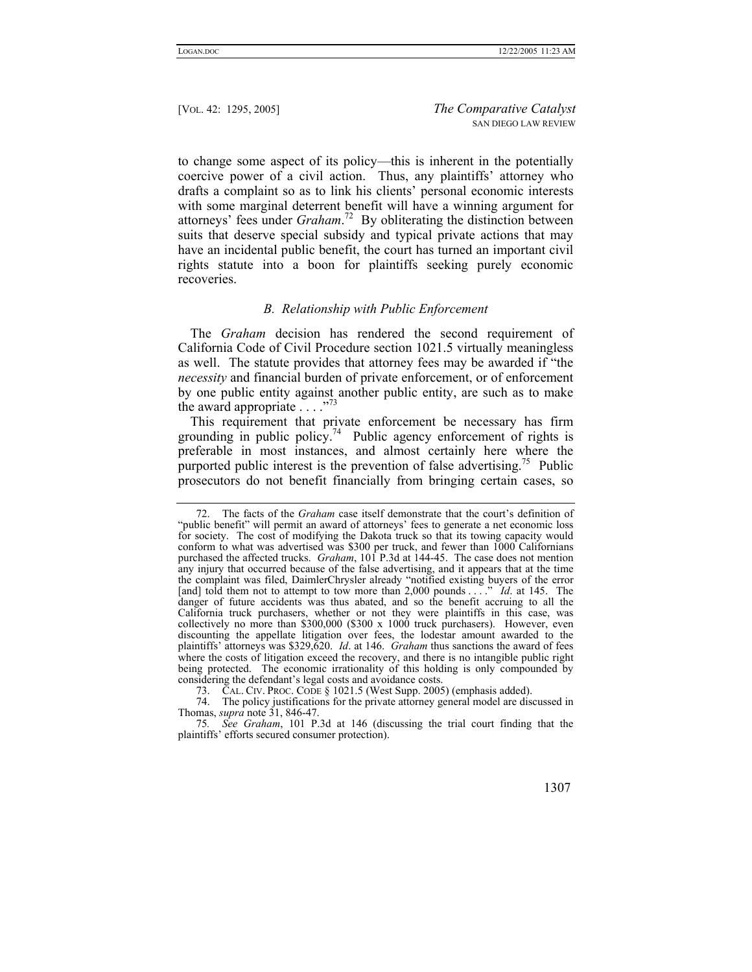to change some aspect of its policy—this is inherent in the potentially coercive power of a civil action. Thus, any plaintiffs' attorney who drafts a complaint so as to link his clients' personal economic interests with some marginal deterrent benefit will have a winning argument for attorneys' fees under *Graham*. [72](#page-12-0) By obliterating the distinction between suits that deserve special subsidy and typical private actions that may have an incidental public benefit, the court has turned an important civil rights statute into a boon for plaintiffs seeking purely economic recoveries.

# *B. Relationship with Public Enforcement*

The *Graham* decision has rendered the second requirement of California Code of Civil Procedure section 1021.5 virtually meaningless as well. The statute provides that attorney fees may be awarded if "the *necessity* and financial burden of private enforcement, or of enforcement by one public entity against another public entity, are such as to make the award appropriate  $\ldots$  ."<sup>[73](#page-12-1)</sup>

This requirement that private enforcement be necessary has firm grounding in public policy.<sup>74</sup> Public agency enforcement of rights is preferable in most instances, and almost certainly here where the purported public interest is the prevention of false advertising.<sup>75</sup> Public prosecutors do not benefit financially from bringing certain cases, so

<span id="page-12-0"></span><sup>72.</sup> The facts of the *Graham* case itself demonstrate that the court's definition of "public benefit" will permit an award of attorneys' fees to generate a net economic loss for society. The cost of modifying the Dakota truck so that its towing capacity would conform to what was advertised was \$300 per truck, and fewer than 1000 Californians purchased the affected trucks. *Graham*, 101 P.3d at 144-45. The case does not mention any injury that occurred because of the false advertising, and it appears that at the time the complaint was filed, DaimlerChrysler already "notified existing buyers of the error [and] told them not to attempt to tow more than 2,000 pounds . . .." *Id*. at 145. The danger of future accidents was thus abated, and so the benefit accruing to all the California truck purchasers, whether or not they were plaintiffs in this case, was collectively no more than  $$300,000$   $($300 x 1000$  truck purchasers). However, even discounting the appellate litigation over fees, the lodestar amount awarded to the plaintiffs' attorneys was \$329,620. *Id*. at 146. *Graham* thus sanctions the award of fees where the costs of litigation exceed the recovery, and there is no intangible public right being protected. The economic irrationality of this holding is only compounded by considering the defendant's legal costs and avoidance costs.

<span id="page-12-2"></span><span id="page-12-1"></span><sup>73.</sup> CAL. CIV. PROC. CODE § 1021.5 (West Supp. 2005) (emphasis added).

<sup>74.</sup> The policy justifications for the private attorney general model are discussed in Thomas, *supra* note 31, 846-47.

<span id="page-12-3"></span><sup>75</sup>*. See Graham*, 101 P.3d at 146 (discussing the trial court finding that the plaintiffs' efforts secured consumer protection).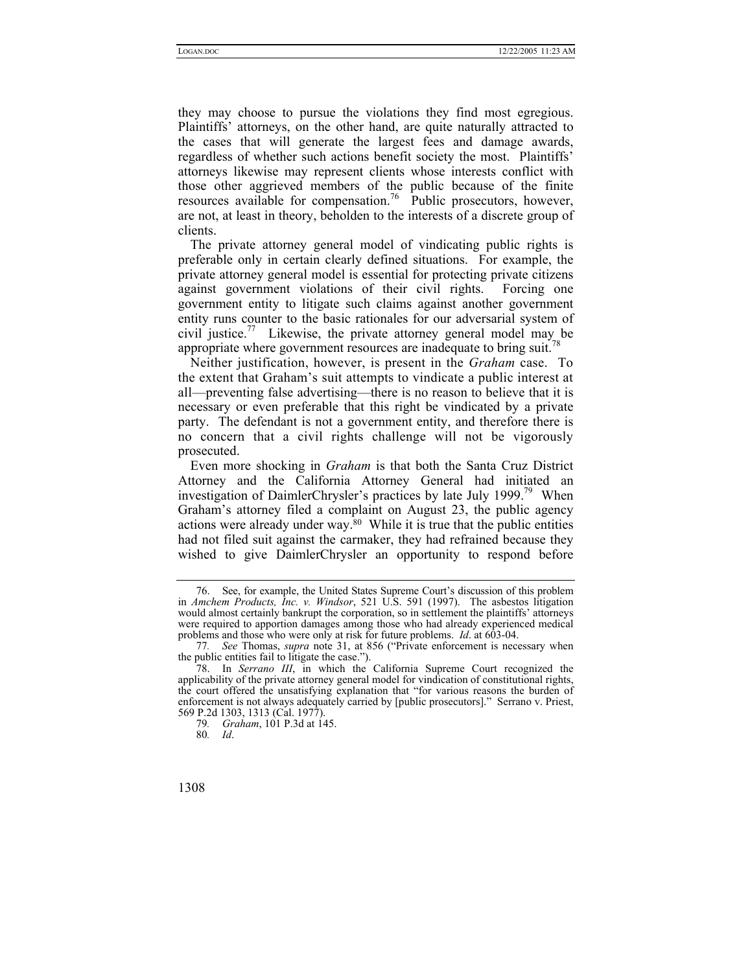they may choose to pursue the violations they find most egregious. Plaintiffs' attorneys, on the other hand, are quite naturally attracted to the cases that will generate the largest fees and damage awards, regardless of whether such actions benefit society the most. Plaintiffs' attorneys likewise may represent clients whose interests conflict with those other aggrieved members of the public because of the finite resources available for compensation.<sup>76</sup> Public prosecutors, however, are not, at least in theory, beholden to the interests of a discrete group of clients.

The private attorney general model of vindicating public rights is preferable only in certain clearly defined situations. For example, the private attorney general model is essential for protecting private citizens against government violations of their civil rights. Forcing one government entity to litigate such claims against another government entity runs counter to the basic rationales for our adversarial system of civil justice.<sup>77</sup> Likewise, the private attorney general model may be appropriate where government resources are inadequate to bring suit.<sup>[78](#page-13-2)</sup>

Neither justification, however, is present in the *Graham* case. To the extent that Graham's suit attempts to vindicate a public interest at all—preventing false advertising—there is no reason to believe that it is necessary or even preferable that this right be vindicated by a private party. The defendant is not a government entity, and therefore there is no concern that a civil rights challenge will not be vigorously prosecuted.

Even more shocking in *Graham* is that both the Santa Cruz District Attorney and the California Attorney General had initiated an investigation of DaimlerChrysler's practices by late July 1999.<sup>79</sup> When Graham's attorney filed a complaint on August 23, the public agency actions were already under way. $80$  While it is true that the public entities had not filed suit against the carmaker, they had refrained because they wished to give DaimlerChrysler an opportunity to respond before

<span id="page-13-0"></span><sup>76.</sup> See, for example, the United States Supreme Court's discussion of this problem in *Amchem Products, Inc. v. Windsor*, 521 U.S. 591 (1997). The asbestos litigation would almost certainly bankrupt the corporation, so in settlement the plaintiffs' attorneys were required to apportion damages among those who had already experienced medical problems and those who were only at risk for future problems. *Id*. at 603-04.

<span id="page-13-1"></span><sup>77</sup>*. See* Thomas, *supra* note 31, at 856 ("Private enforcement is necessary when the public entities fail to litigate the case.").

<span id="page-13-2"></span><sup>78.</sup> In *Serrano III*, in which the California Supreme Court recognized the applicability of the private attorney general model for vindication of constitutional rights, the court offered the unsatisfying explanation that "for various reasons the burden of enforcement is not always adequately carried by [public prosecutors]." Serrano v. Priest, 569 P.2d 1303, 1313 (Cal. 1977).

<span id="page-13-3"></span><sup>79</sup>*. Graham*, 101 P.3d at 145.

<span id="page-13-4"></span><sup>80</sup>*. Id*.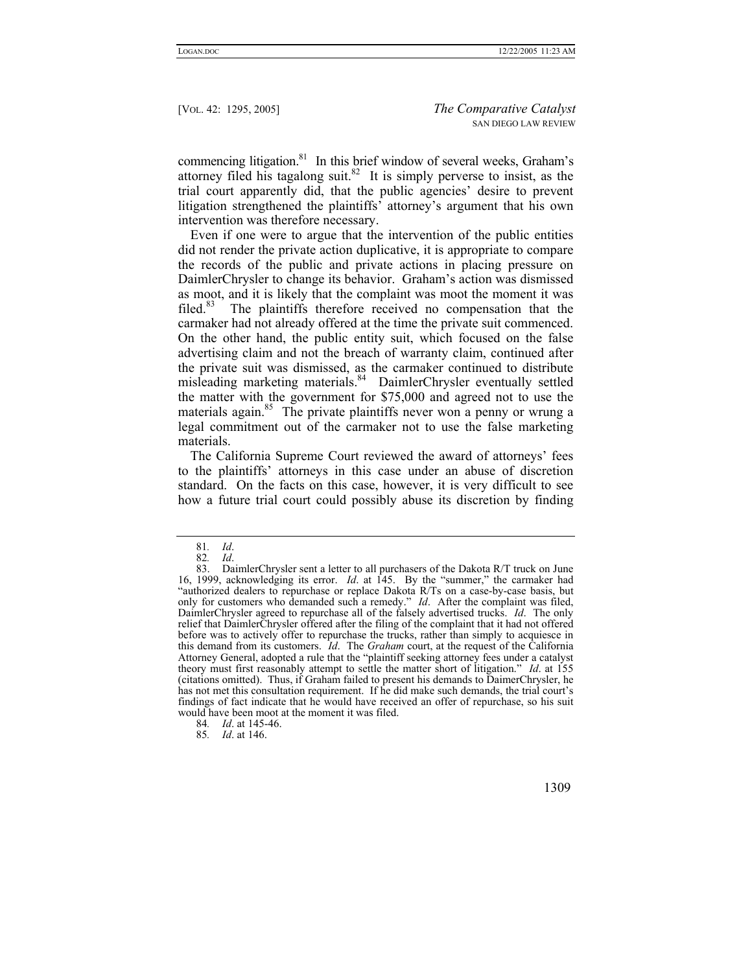commencing litigation.<sup>81</sup> In this brief window of several weeks, Graham's attorney filed his tagalong suit.<sup>82</sup> It is simply perverse to insist, as the trial court apparently did, that the public agencies' desire to prevent litigation strengthened the plaintiffs' attorney's argument that his own intervention was therefore necessary.

Even if one were to argue that the intervention of the public entities did not render the private action duplicative, it is appropriate to compare the records of the public and private actions in placing pressure on DaimlerChrysler to change its behavior. Graham's action was dismissed as moot, and it is likely that the complaint was moot the moment it was filed.<sup>83</sup> The plaintiffs therefore received no compensation that the carmaker had not already offered at the time the private suit commenced. On the other hand, the public entity suit, which focused on the false advertising claim and not the breach of warranty claim, continued after the private suit was dismissed, as the carmaker continued to distribute misleading marketing materials.<sup>84</sup> DaimlerChrysler eventually settled the matter with the government for \$75,000 and agreed not to use the materials again.<sup>85</sup> The private plaintiffs never won a penny or wrung a legal commitment out of the carmaker not to use the false marketing materials.

The California Supreme Court reviewed the award of attorneys' fees to the plaintiffs' attorneys in this case under an abuse of discretion standard. On the facts on this case, however, it is very difficult to see how a future trial court could possibly abuse its discretion by finding

<span id="page-14-0"></span><sup>81</sup>*. Id*.

<span id="page-14-2"></span><span id="page-14-1"></span><sup>82</sup>*. Id*.

<sup>83.</sup> DaimlerChrysler sent a letter to all purchasers of the Dakota R/T truck on June 16, 1999, acknowledging its error. *Id*. at 145. By the "summer," the carmaker had "authorized dealers to repurchase or replace Dakota R/Ts on a case-by-case basis, but only for customers who demanded such a remedy." *Id*. After the complaint was filed, DaimlerChrysler agreed to repurchase all of the falsely advertised trucks. *Id*. The only relief that DaimlerChrysler offered after the filing of the complaint that it had not offered before was to actively offer to repurchase the trucks, rather than simply to acquiesce in this demand from its customers. *Id*. The *Graham* court, at the request of the California Attorney General, adopted a rule that the "plaintiff seeking attorney fees under a catalyst theory must first reasonably attempt to settle the matter short of litigation." *Id*. at 155 (citations omitted). Thus, if Graham failed to present his demands to DaimerChrysler, he has not met this consultation requirement. If he did make such demands, the trial court's findings of fact indicate that he would have received an offer of repurchase, so his suit would have been moot at the moment it was filed.

<span id="page-14-3"></span><sup>84</sup>*. Id*. at 145-46.

<span id="page-14-4"></span><sup>85</sup>*. Id*. at 146.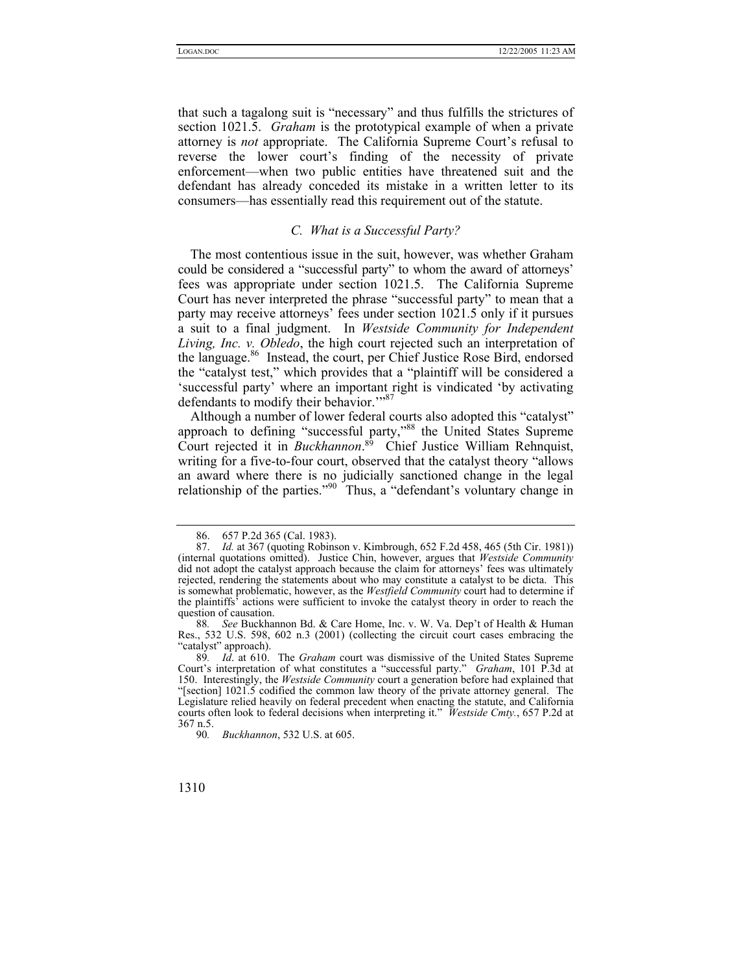that such a tagalong suit is "necessary" and thus fulfills the strictures of section 1021.5. *Graham* is the prototypical example of when a private attorney is *not* appropriate. The California Supreme Court's refusal to reverse the lower court's finding of the necessity of private enforcement—when two public entities have threatened suit and the defendant has already conceded its mistake in a written letter to its consumers—has essentially read this requirement out of the statute.

## *C. What is a Successful Party?*

The most contentious issue in the suit, however, was whether Graham could be considered a "successful party" to whom the award of attorneys' fees was appropriate under section 1021.5. The California Supreme Court has never interpreted the phrase "successful party" to mean that a party may receive attorneys' fees under section 1021.5 only if it pursues a suit to a final judgment. In *Westside Community for Independent Living, Inc. v. Obledo*, the high court rejected such an interpretation of the language.[86](#page-15-0) Instead, the court, per Chief Justice Rose Bird, endorsed the "catalyst test," which provides that a "plaintiff will be considered a 'successful party' where an important right is vindicated 'by activating defendants to modify their behavior."<sup>87</sup>

Although a number of lower federal courts also adopted this "catalyst" approach to defining "successful party,"<sup>88</sup> the United States Supreme Court rejected it in *Buckhannon*. [89](#page-15-3) Chief Justice William Rehnquist, writing for a five-to-four court, observed that the catalyst theory "allows an award where there is no judicially sanctioned change in the legal relationship of the parties."<sup>90</sup> Thus, a "defendant's voluntary change in

<span id="page-15-1"></span><span id="page-15-0"></span><sup>86. 657</sup> P.2d 365 (Cal. 1983).

<sup>87.</sup> *Id.* at 367 (quoting Robinson v. Kimbrough, 652 F.2d 458, 465 (5th Cir. 1981)) (internal quotations omitted). Justice Chin, however, argues that *Westside Community* did not adopt the catalyst approach because the claim for attorneys' fees was ultimately rejected, rendering the statements about who may constitute a catalyst to be dicta. This is somewhat problematic, however, as the *Westfield Community* court had to determine if the plaintiffs' actions were sufficient to invoke the catalyst theory in order to reach the question of causation.

<span id="page-15-2"></span><sup>88</sup>*. See* Buckhannon Bd. & Care Home, Inc. v. W. Va. Dep't of Health & Human Res., 532 U.S. 598, 602 n.3 (2001) (collecting the circuit court cases embracing the "catalyst" approach).

<span id="page-15-3"></span><sup>89</sup>*. Id*. at 610. The *Graham* court was dismissive of the United States Supreme Court's interpretation of what constitutes a "successful party." *Graham*, 101 P.3d at 150. Interestingly, the *Westside Community* court a generation before had explained that "[section] 1021.5 codified the common law theory of the private attorney general. The Legislature relied heavily on federal precedent when enacting the statute, and California courts often look to federal decisions when interpreting it." *Westside Cmty.*, 657 P.2d at 367 n.5.

<span id="page-15-4"></span><sup>90</sup>*. Buckhannon*, 532 U.S. at 605.

<sup>1310</sup>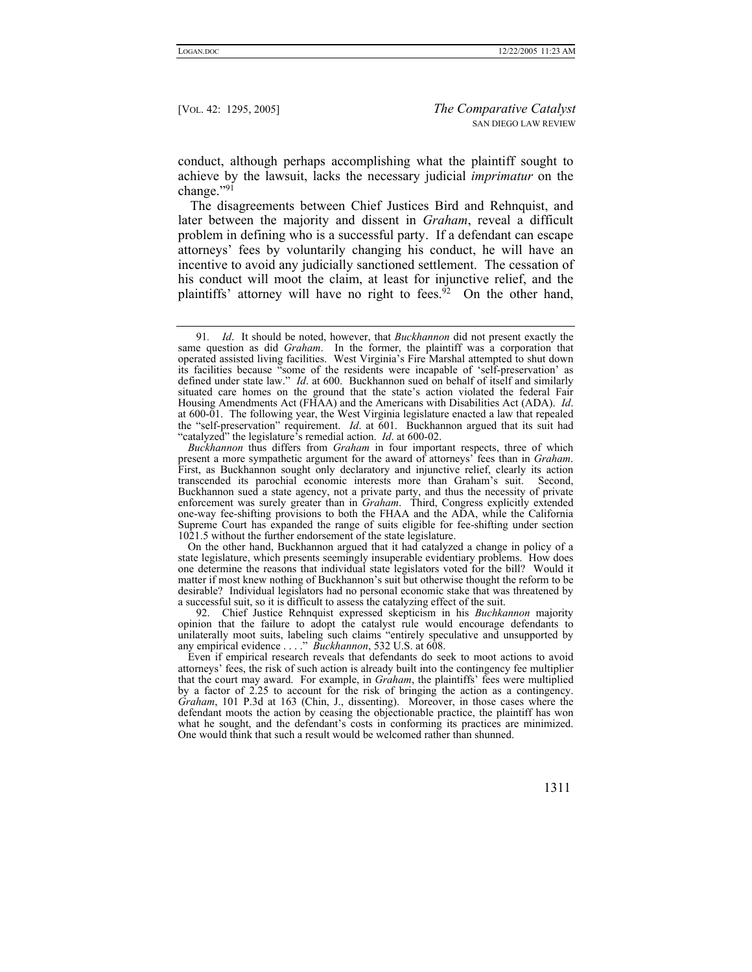conduct, although perhaps accomplishing what the plaintiff sought to achieve by the lawsuit, lacks the necessary judicial *imprimatur* on the change."[91](#page-16-0)

The disagreements between Chief Justices Bird and Rehnquist, and later between the majority and dissent in *Graham*, reveal a difficult problem in defining who is a successful party. If a defendant can escape attorneys' fees by voluntarily changing his conduct, he will have an incentive to avoid any judicially sanctioned settlement. The cessation of his conduct will moot the claim, at least for injunctive relief, and the plaintiffs' attorney will have no right to fees.<sup>92</sup> On the other hand,

*Buckhannon* thus differs from *Graham* in four important respects, three of which present a more sympathetic argument for the award of attorneys' fees than in *Graham*. First, as Buckhannon sought only declaratory and injunctive relief, clearly its action transcended its parochial economic interests more than Graham's suit. Second, Buckhannon sued a state agency, not a private party, and thus the necessity of private enforcement was surely greater than in *Graham*. Third, Congress explicitly extended one-way fee-shifting provisions to both the FHAA and the ADA, while the California Supreme Court has expanded the range of suits eligible for fee-shifting under section 1021.5 without the further endorsement of the state legislature.

On the other hand, Buckhannon argued that it had catalyzed a change in policy of a state legislature, which presents seemingly insuperable evidentiary problems. How does one determine the reasons that individual state legislators voted for the bill? Would it matter if most knew nothing of Buckhannon's suit but otherwise thought the reform to be desirable? Individual legislators had no personal economic stake that was threatened by a successful suit, so it is difficult to assess the catalyzing effect of the suit.

<span id="page-16-1"></span>92. Chief Justice Rehnquist expressed skepticism in his *Buchkannon* majority opinion that the failure to adopt the catalyst rule would encourage defendants to unilaterally moot suits, labeling such claims "entirely speculative and unsupported by any empirical evidence . . . ." *Buckhannon*, 532 U.S. at 608.

Even if empirical research reveals that defendants do seek to moot actions to avoid attorneys' fees, the risk of such action is already built into the contingency fee multiplier that the court may award. For example, in *Graham*, the plaintiffs' fees were multiplied by a factor of 2.25 to account for the risk of bringing the action as a contingency. *Graham*, 101 P.3d at 163 (Chin, J., dissenting). Moreover, in those cases where the defendant moots the action by ceasing the objectionable practice, the plaintiff has won what he sought, and the defendant's costs in conforming its practices are minimized. One would think that such a result would be welcomed rather than shunned.

<span id="page-16-0"></span><sup>91</sup>*. Id*. It should be noted, however, that *Buckhannon* did not present exactly the same question as did *Graham*. In the former, the plaintiff was a corporation that operated assisted living facilities. West Virginia's Fire Marshal attempted to shut down its facilities because "some of the residents were incapable of 'self-preservation' as defined under state law." *Id.* at 600. Buckhannon sued on behalf of itself and similarly situated care homes on the ground that the state's action violated the federal Fair Housing Amendments Act (FHAA) and the Americans with Disabilities Act (ADA).  $Id$ . at 600-01. The following year, the West Virginia legislature enacted a law that repealed the "self-preservation" requirement. *Id*. at 601. Buckhannon argued that its suit had "catalyzed" the legislature's remedial action. *Id*. at 600-02.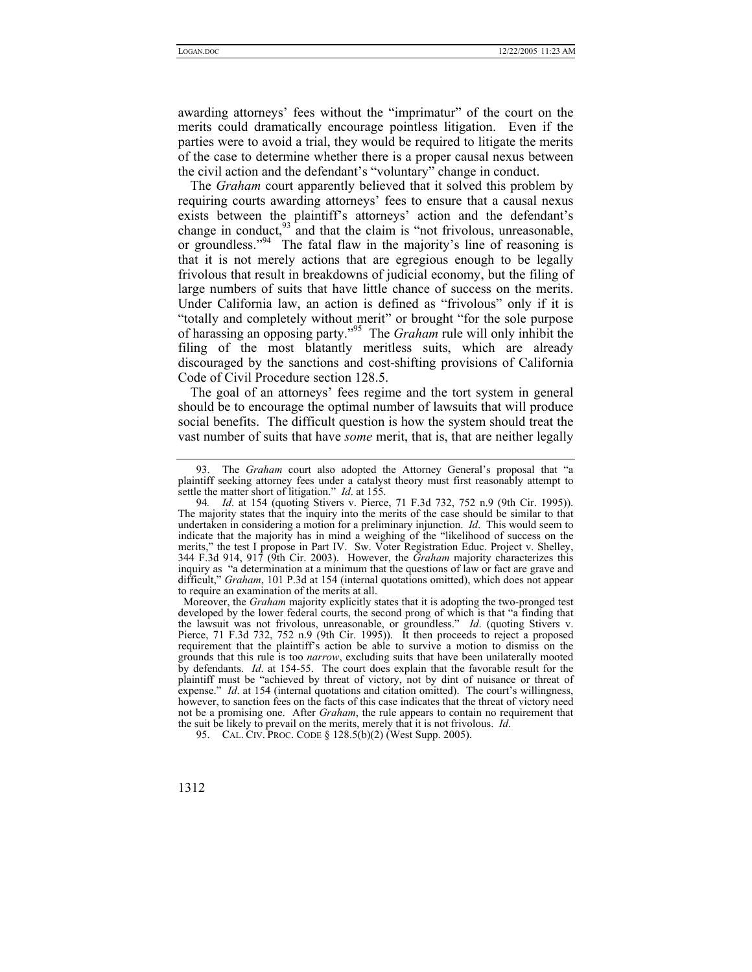awarding attorneys' fees without the "imprimatur" of the court on the merits could dramatically encourage pointless litigation. Even if the parties were to avoid a trial, they would be required to litigate the merits of the case to determine whether there is a proper causal nexus between the civil action and the defendant's "voluntary" change in conduct.

The *Graham* court apparently believed that it solved this problem by requiring courts awarding attorneys' fees to ensure that a causal nexus exists between the plaintiff's attorneys' action and the defendant's change in conduct, $93$  and that the claim is "not frivolous, unreasonable, or groundless."<sup>94</sup> The fatal flaw in the majority's line of reasoning is that it is not merely actions that are egregious enough to be legally frivolous that result in breakdowns of judicial economy, but the filing of large numbers of suits that have little chance of success on the merits. Under California law, an action is defined as "frivolous" only if it is "totally and completely without merit" or brought "for the sole purpose of harassing an opposing party."[95](#page-17-2) The *Graham* rule will only inhibit the filing of the most blatantly meritless suits, which are already discouraged by the sanctions and cost-shifting provisions of California Code of Civil Procedure section 128.5.

The goal of an attorneys' fees regime and the tort system in general should be to encourage the optimal number of lawsuits that will produce social benefits. The difficult question is how the system should treat the vast number of suits that have *some* merit, that is, that are neither legally

<span id="page-17-0"></span><sup>93.</sup> The *Graham* court also adopted the Attorney General's proposal that "a plaintiff seeking attorney fees under a catalyst theory must first reasonably attempt to settle the matter short of litigation." *Id*. at 155.

<span id="page-17-1"></span><sup>94</sup>*. Id*. at 154 (quoting [Stivers v. Pierce, 71 F.3d 732, 752 n.9](http://www.lexis.com/research/buttonTFLink?_m=136e98e3369a07927a32be63f37b279a&_xfercite=%3ccite%20cc%3d%22USA%22%3e%3c%21%5bCDATA%5b34%20Cal.%204th%20553%5d%5d%3e%3c%2fcite%3e&_butType=3&_butStat=2&_butNum=151&_butInline=1&_butinfo=%3ccite%20cc%3d%22USA%22%3e%3c%21%5bCDATA%5b71%20F.3d%20732%2cat%20752%5d%5d%3e%3c%2fcite%3e&_fmtstr=FULL&docnum=1&_startdoc=1&wchp=dGLbVtb-zSkAW&_md5=a6ca9ec568c687cf3eddd036c7cd1f4d) (9th Cir. 1995)). The majority states that the inquiry into the merits of the case should be similar to that undertaken in considering a motion for a preliminary injunction. *Id*. This would seem to indicate that the majority has in mind a weighing of the "likelihood of success on the merits," the test I propose in Part IV. Sw. Voter Registration Educ. Project v. Shelley, 344 F.3d 914, 917 (9th Cir. 2003). However, the *Graham* majority characterizes this inquiry as "a determination at a minimum that the questions of law or fact are grave and difficult," *Graham*, 101 P.3d at 154 (internal quotations omitted), which does not appear to require an examination of the merits at all.

Moreover, the *Graham* majority explicitly states that it is adopting the two-pronged test developed by the lower federal courts, the second prong of which is that "a finding that the lawsuit was not frivolous, unreasonable, or groundless." *Id*. (quoting Stivers v. Pierce, 71 F.3d 732, 752 n.9 (9th Cir. 1995)). It then proceeds to reject a proposed requirement that the plaintiff's action be able to survive a motion to dismiss on the grounds that this rule is too *narrow*, excluding suits that have been unilaterally mooted by defendants. *Id*. at 154-55. The court does explain that the favorable result for the plaintiff must be "achieved by threat of victory, not by dint of nuisance or threat of expense." *Id.* at 154 (internal quotations and citation omitted). The court's willingness, however, to sanction fees on the facts of this case indicates that the threat of victory need not be a promising one. After *Graham*, the rule appears to contain no requirement that the suit be likely to prevail on the merits, merely that it is not frivolous. *Id*.

<span id="page-17-2"></span><sup>95.</sup> CAL. CIV. PROC. CODE § 128.5(b)(2) (West Supp. 2005).

<sup>1312</sup>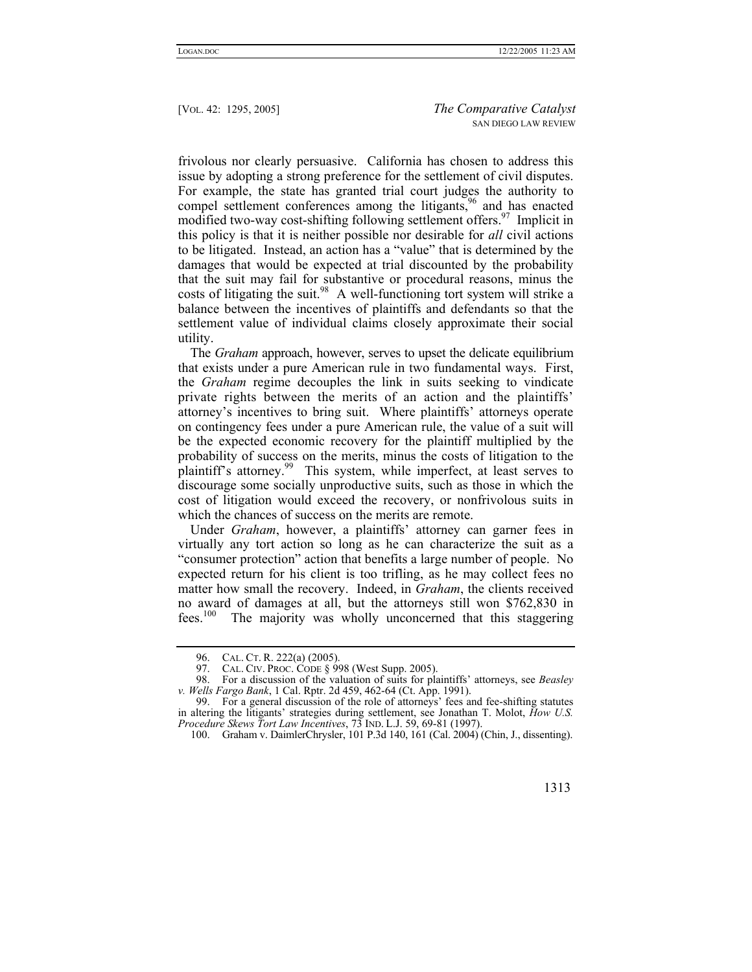frivolous nor clearly persuasive. California has chosen to address this issue by adopting a strong preference for the settlement of civil disputes. For example, the state has granted trial court judges the authority to compel settlement conferences among the litigants,<sup>96</sup> and has enacted modified two-way cost-shifting following settlement offers.<sup>97</sup> Implicit in this policy is that it is neither possible nor desirable for *all* civil actions to be litigated. Instead, an action has a "value" that is determined by the damages that would be expected at trial discounted by the probability that the suit may fail for substantive or procedural reasons, minus the costs of litigating the suit.<sup>98</sup> A well-functioning tort system will strike a balance between the incentives of plaintiffs and defendants so that the settlement value of individual claims closely approximate their social utility.

The *Graham* approach, however, serves to upset the delicate equilibrium that exists under a pure American rule in two fundamental ways. First, the *Graham* regime decouples the link in suits seeking to vindicate private rights between the merits of an action and the plaintiffs' attorney's incentives to bring suit. Where plaintiffs' attorneys operate on contingency fees under a pure American rule, the value of a suit will be the expected economic recovery for the plaintiff multiplied by the probability of success on the merits, minus the costs of litigation to the plaintiff's attorney.[99](#page-18-3) This system, while imperfect, at least serves to discourage some socially unproductive suits, such as those in which the cost of litigation would exceed the recovery, or nonfrivolous suits in which the chances of success on the merits are remote.

Under *Graham*, however, a plaintiffs' attorney can garner fees in virtually any tort action so long as he can characterize the suit as a "consumer protection" action that benefits a large number of people. No expected return for his client is too trifling, as he may collect fees no matter how small the recovery. Indeed, in *Graham*, the clients received no award of damages at all, but the attorneys still won \$762,830 in fees.<sup>100</sup> The majority was wholly unconcerned that this staggering

<span id="page-18-4"></span><sup>100.</sup> Graham v. DaimlerChrysler, 101 P.3d 140, 161 (Cal. 2004) (Chin, J., dissenting).



<span id="page-18-0"></span><sup>96.</sup> CAL. CT. R. 222(a) (2005).

<span id="page-18-2"></span><span id="page-18-1"></span><sup>97.</sup> CAL. CIV. PROC. CODE § 998 (West Supp. 2005).<br>98. For a discussion of the valuation of suits for pla

<sup>98.</sup> For a discussion of the valuation of suits for plaintiffs' attorneys, see *Beasley v. Wells Fargo Bank*, 1 Cal. Rptr. 2d 459, 462-64 (Ct. App. 1991).

<span id="page-18-3"></span><sup>99.</sup> For a general discussion of the role of attorneys' fees and fee-shifting statutes in altering the litigants' strategies during settlement, see Jonathan T. Molot, *How U.S. Procedure Skews Tort Law Incentives*, 73 IND. L.J. 59, 69-81 (1997).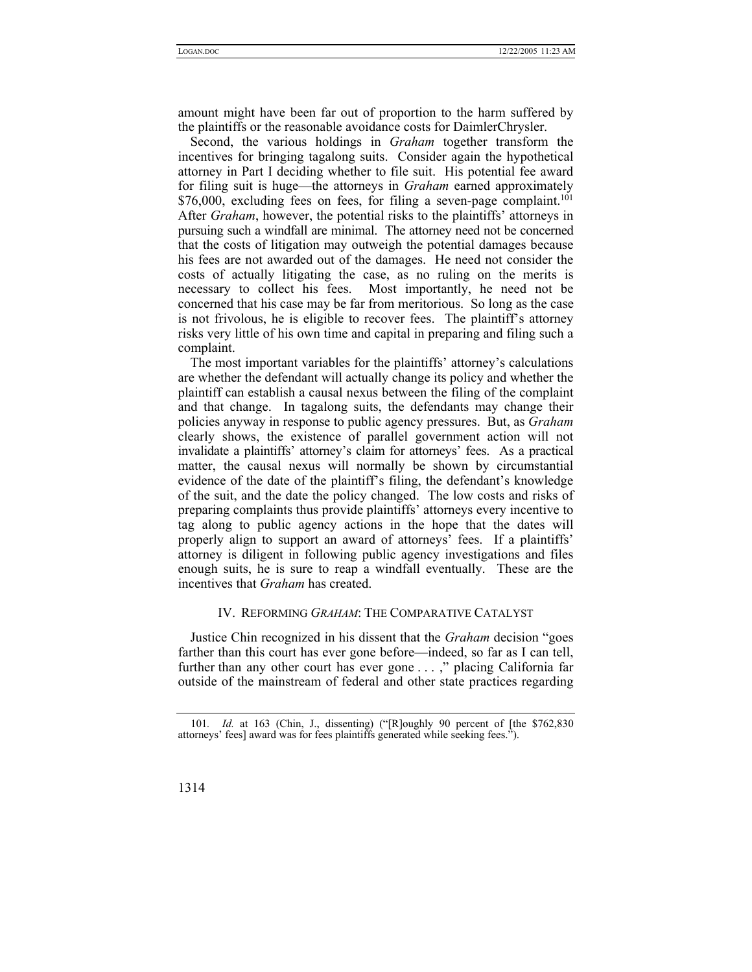amount might have been far out of proportion to the harm suffered by the plaintiffs or the reasonable avoidance costs for DaimlerChrysler.

Second, the various holdings in *Graham* together transform the incentives for bringing tagalong suits. Consider again the hypothetical attorney in Part I deciding whether to file suit. His potential fee award for filing suit is huge—the attorneys in *Graham* earned approximately  $$76,000$ , excluding fees on fees, for filing a seven-page complaint.<sup>101</sup> After *Graham*, however, the potential risks to the plaintiffs' attorneys in pursuing such a windfall are minimal. The attorney need not be concerned that the costs of litigation may outweigh the potential damages because his fees are not awarded out of the damages. He need not consider the costs of actually litigating the case, as no ruling on the merits is necessary to collect his fees. Most importantly, he need not be concerned that his case may be far from meritorious. So long as the case is not frivolous, he is eligible to recover fees. The plaintiff's attorney risks very little of his own time and capital in preparing and filing such a complaint.

The most important variables for the plaintiffs' attorney's calculations are whether the defendant will actually change its policy and whether the plaintiff can establish a causal nexus between the filing of the complaint and that change. In tagalong suits, the defendants may change their policies anyway in response to public agency pressures. But, as *Graham* clearly shows, the existence of parallel government action will not invalidate a plaintiffs' attorney's claim for attorneys' fees. As a practical matter, the causal nexus will normally be shown by circumstantial evidence of the date of the plaintiff's filing, the defendant's knowledge of the suit, and the date the policy changed. The low costs and risks of preparing complaints thus provide plaintiffs' attorneys every incentive to tag along to public agency actions in the hope that the dates will properly align to support an award of attorneys' fees. If a plaintiffs' attorney is diligent in following public agency investigations and files enough suits, he is sure to reap a windfall eventually. These are the incentives that *Graham* has created.

# IV. REFORMING *GRAHAM*: THE COMPARATIVE CATALYST

Justice Chin recognized in his dissent that the *Graham* decision "goes farther than this court has ever gone before—indeed, so far as I can tell, further than any other court has ever gone . . . ," placing California far outside of the mainstream of federal and other state practices regarding

<span id="page-19-0"></span><sup>101</sup>*. Id.* at 163 (Chin, J., dissenting) ("[R]oughly 90 percent of [the \$762,830 attorneys' fees] award was for fees plaintiffs generated while seeking fees.").

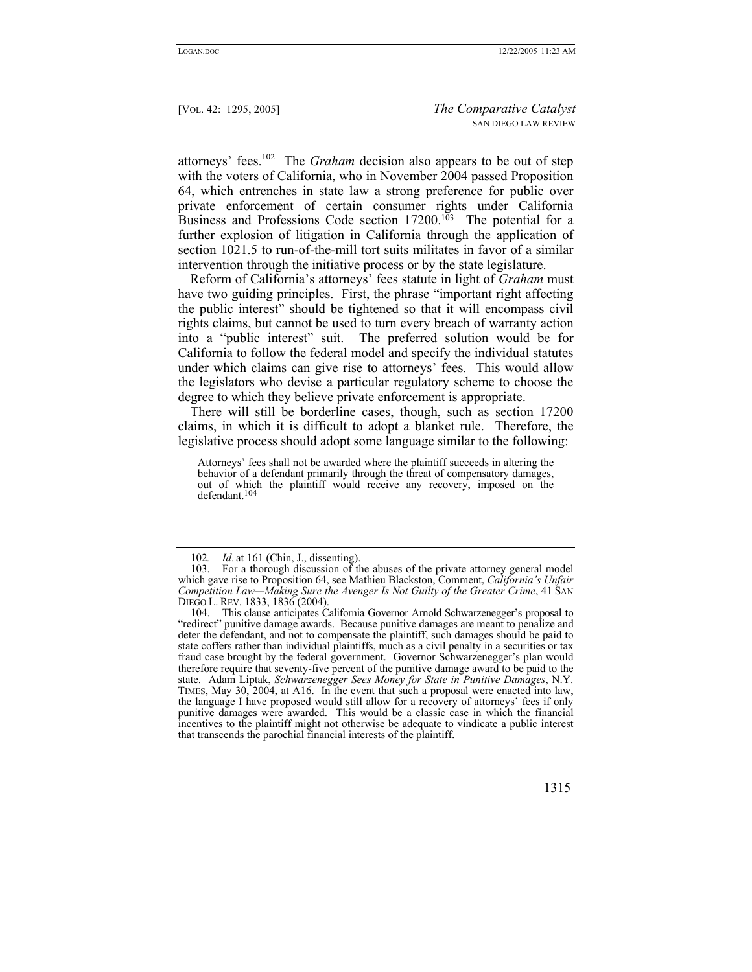attorneys' fees.[102](#page-20-0) The *Graham* decision also appears to be out of step with the voters of California, who in November 2004 passed Proposition 64, which entrenches in state law a strong preference for public over private enforcement of certain consumer rights under California Business and Professions Code section  $17200$ .<sup>103</sup> The potential for a further explosion of litigation in California through the application of section 1021.5 to run-of-the-mill tort suits militates in favor of a similar intervention through the initiative process or by the state legislature.

Reform of California's attorneys' fees statute in light of *Graham* must have two guiding principles. First, the phrase "important right affecting the public interest" should be tightened so that it will encompass civil rights claims, but cannot be used to turn every breach of warranty action into a "public interest" suit. The preferred solution would be for California to follow the federal model and specify the individual statutes under which claims can give rise to attorneys' fees. This would allow the legislators who devise a particular regulatory scheme to choose the degree to which they believe private enforcement is appropriate.

There will still be borderline cases, though, such as section 17200 claims, in which it is difficult to adopt a blanket rule. Therefore, the legislative process should adopt some language similar to the following:

Attorneys' fees shall not be awarded where the plaintiff succeeds in altering the behavior of a defendant primarily through the threat of compensatory damages, out of which the plaintiff would receive any recovery, imposed on the defendant.104

<span id="page-20-2"></span><sup>104.</sup> This clause anticipates California Governor Arnold Schwarzenegger's proposal to "redirect" punitive damage awards. Because punitive damages are meant to penalize and deter the defendant, and not to compensate the plaintiff, such damages should be paid to state coffers rather than individual plaintiffs, much as a civil penalty in a securities or tax fraud case brought by the federal government. Governor Schwarzenegger's plan would therefore require that seventy-five percent of the punitive damage award to be paid to the state. Adam Liptak, *Schwarzenegger Sees Money for State in Punitive Damages*, N.Y. TIMES, May 30, 2004, at A16. In the event that such a proposal were enacted into law, the language I have proposed would still allow for a recovery of attorneys' fees if only punitive damages were awarded. This would be a classic case in which the financial incentives to the plaintiff might not otherwise be adequate to vindicate a public interest that transcends the parochial financial interests of the plaintiff.



<span id="page-20-1"></span><span id="page-20-0"></span><sup>102</sup>*. Id*. at 161 (Chin, J., dissenting).

<sup>103.</sup> For a thorough discussion of the abuses of the private attorney general model which gave rise to Proposition 64, see Mathieu Blackston, Comment, *California's Unfair Competition Law—Making Sure the Avenger Is Not Guilty of the Greater Crime*, 41 SAN DIEGO L. REV. 1833, 1836 (2004).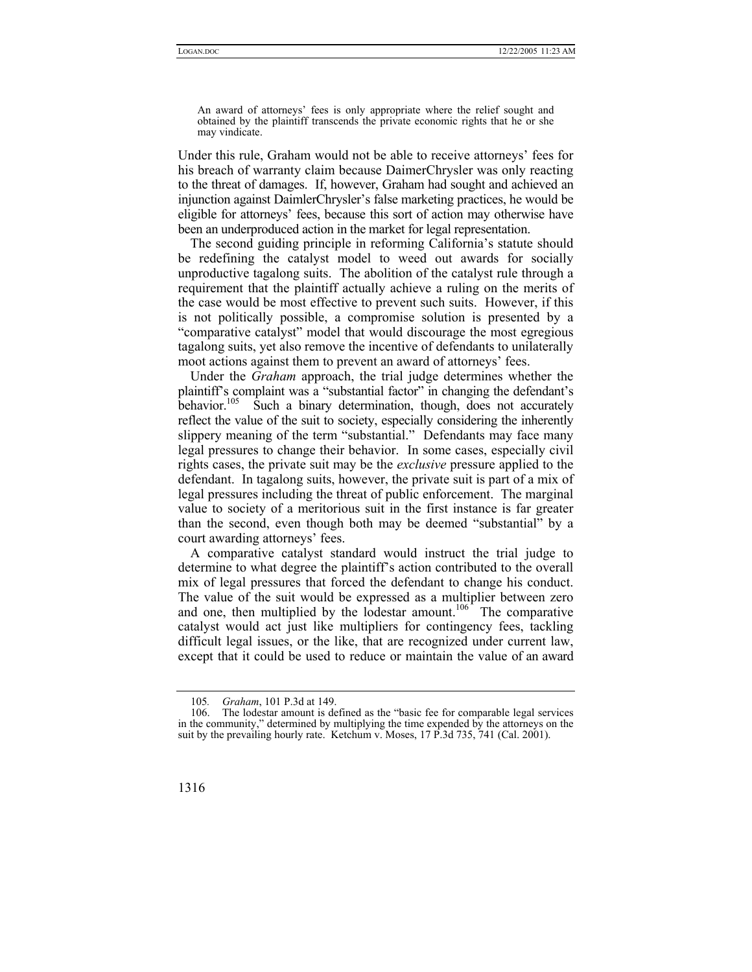An award of attorneys' fees is only appropriate where the relief sought and obtained by the plaintiff transcends the private economic rights that he or she may vindicate.

Under this rule, Graham would not be able to receive attorneys' fees for his breach of warranty claim because DaimerChrysler was only reacting to the threat of damages. If, however, Graham had sought and achieved an injunction against DaimlerChrysler's false marketing practices, he would be eligible for attorneys' fees, because this sort of action may otherwise have been an underproduced action in the market for legal representation.

The second guiding principle in reforming California's statute should be redefining the catalyst model to weed out awards for socially unproductive tagalong suits. The abolition of the catalyst rule through a requirement that the plaintiff actually achieve a ruling on the merits of the case would be most effective to prevent such suits. However, if this is not politically possible, a compromise solution is presented by a "comparative catalyst" model that would discourage the most egregious tagalong suits, yet also remove the incentive of defendants to unilaterally moot actions against them to prevent an award of attorneys' fees.

Under the *Graham* approach, the trial judge determines whether the plaintiff's complaint was a "substantial factor" in changing the defendant's behavior.<sup>105</sup> Such a binary determination, though, does not accurately reflect the value of the suit to society, especially considering the inherently slippery meaning of the term "substantial." Defendants may face many legal pressures to change their behavior. In some cases, especially civil rights cases, the private suit may be the *exclusive* pressure applied to the defendant. In tagalong suits, however, the private suit is part of a mix of legal pressures including the threat of public enforcement. The marginal value to society of a meritorious suit in the first instance is far greater than the second, even though both may be deemed "substantial" by a court awarding attorneys' fees.

A comparative catalyst standard would instruct the trial judge to determine to what degree the plaintiff's action contributed to the overall mix of legal pressures that forced the defendant to change his conduct. The value of the suit would be expressed as a multiplier between zero and one, then multiplied by the lodestar amount.<sup>106</sup> The comparative catalyst would act just like multipliers for contingency fees, tackling difficult legal issues, or the like, that are recognized under current law, except that it could be used to reduce or maintain the value of an award

<sup>106.</sup> The lodestar amount is defined as the "basic fee for comparable legal services in the community," determined by multiplying the time expended by the attorneys on the suit by the prevailing hourly rate. Ketchum v. Moses, 17 P.3d 735, 741 (Cal. 2001).



<span id="page-21-1"></span><span id="page-21-0"></span><sup>105</sup>*. Graham*, 101 P.3d at 149.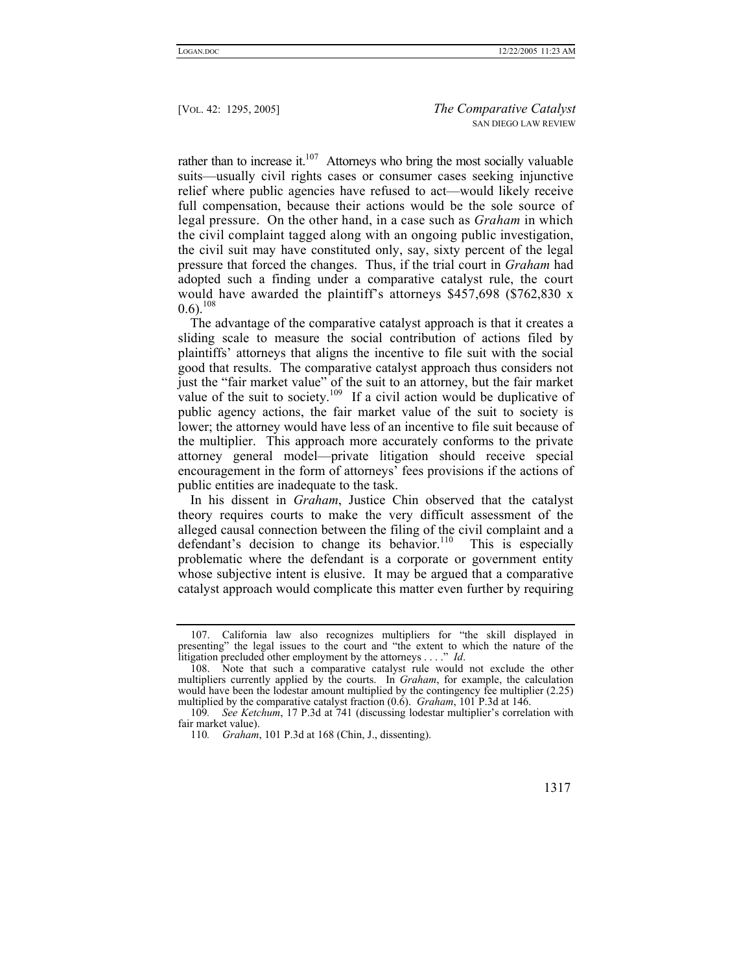rather than to increase it. $107$  Attorneys who bring the most socially valuable suits—usually civil rights cases or consumer cases seeking injunctive relief where public agencies have refused to act—would likely receive full compensation, because their actions would be the sole source of legal pressure. On the other hand, in a case such as *Graham* in which the civil complaint tagged along with an ongoing public investigation, the civil suit may have constituted only, say, sixty percent of the legal pressure that forced the changes. Thus, if the trial court in *Graham* had adopted such a finding under a comparative catalyst rule, the court would have awarded the plaintiff's attorneys \$457,698 (\$762,830 x  $0.6$ ).<sup>108</sup>

The advantage of the comparative catalyst approach is that it creates a sliding scale to measure the social contribution of actions filed by plaintiffs' attorneys that aligns the incentive to file suit with the social good that results. The comparative catalyst approach thus considers not just the "fair market value" of the suit to an attorney, but the fair market value of the suit to society.<sup>109</sup> If a civil action would be duplicative of public agency actions, the fair market value of the suit to society is lower; the attorney would have less of an incentive to file suit because of the multiplier. This approach more accurately conforms to the private attorney general model—private litigation should receive special encouragement in the form of attorneys' fees provisions if the actions of public entities are inadequate to the task.

In his dissent in *Graham*, Justice Chin observed that the catalyst theory requires courts to make the very difficult assessment of the alleged causal connection between the filing of the civil complaint and a defendant's decision to change its behavior.<sup>110</sup> This is especially problematic where the defendant is a corporate or government entity whose subjective intent is elusive. It may be argued that a comparative catalyst approach would complicate this matter even further by requiring

<span id="page-22-3"></span><sup>110</sup>*. Graham*, 101 P.3d at 168 (Chin, J., dissenting).



<span id="page-22-0"></span><sup>107.</sup> California law also recognizes multipliers for "the skill displayed in presenting" the legal issues to the court and "the extent to which the nature of the litigation precluded other employment by the attorneys . . . ." *Id*.

<span id="page-22-1"></span><sup>108.</sup> Note that such a comparative catalyst rule would not exclude the other multipliers currently applied by the courts. In *Graham*, for example, the calculation would have been the lodestar amount multiplied by the contingency fee multiplier (2.25) multiplied by the comparative catalyst fraction (0.6). *Graham*, 101 P.3d at 146.

<span id="page-22-2"></span><sup>109</sup>*. See Ketchum*, 17 P.3d at 741 (discussing lodestar multiplier's correlation with fair market value).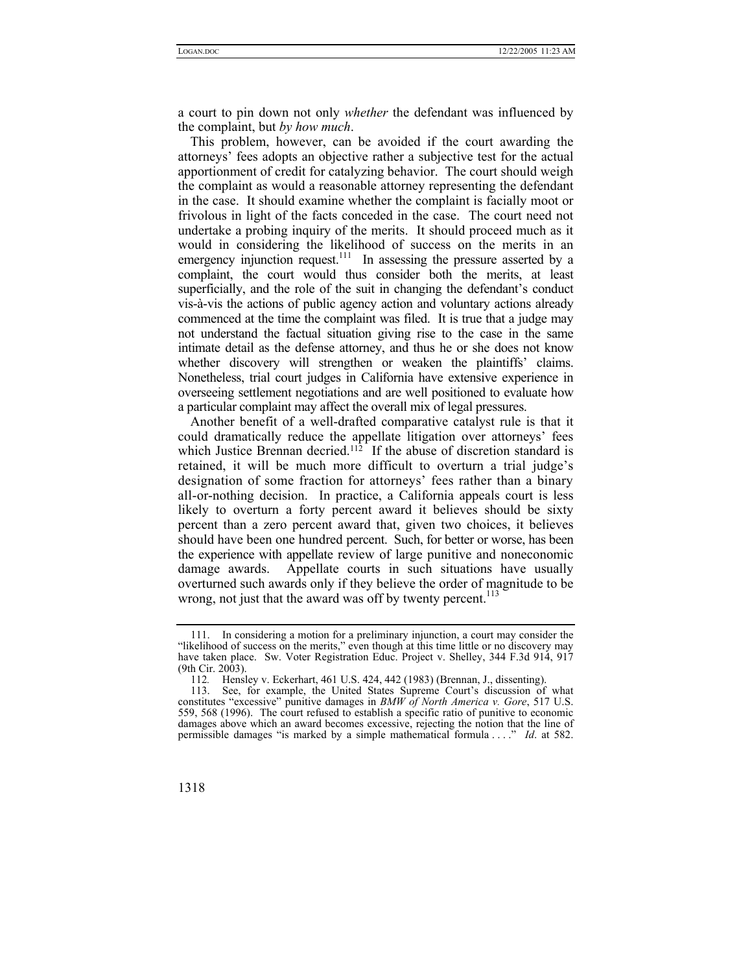a court to pin down not only *whether* the defendant was influenced by the complaint, but *by how much*.

This problem, however, can be avoided if the court awarding the attorneys' fees adopts an objective rather a subjective test for the actual apportionment of credit for catalyzing behavior. The court should weigh the complaint as would a reasonable attorney representing the defendant in the case. It should examine whether the complaint is facially moot or frivolous in light of the facts conceded in the case. The court need not undertake a probing inquiry of the merits. It should proceed much as it would in considering the likelihood of success on the merits in an emergency injunction request.<sup>111</sup> In assessing the pressure asserted by a complaint, the court would thus consider both the merits, at least superficially, and the role of the suit in changing the defendant's conduct vis-à-vis the actions of public agency action and voluntary actions already commenced at the time the complaint was filed. It is true that a judge may not understand the factual situation giving rise to the case in the same intimate detail as the defense attorney, and thus he or she does not know whether discovery will strengthen or weaken the plaintiffs' claims. Nonetheless, trial court judges in California have extensive experience in overseeing settlement negotiations and are well positioned to evaluate how a particular complaint may affect the overall mix of legal pressures.

Another benefit of a well-drafted comparative catalyst rule is that it could dramatically reduce the appellate litigation over attorneys' fees which Justice Brennan decried.<sup>112</sup> If the abuse of discretion standard is retained, it will be much more difficult to overturn a trial judge's designation of some fraction for attorneys' fees rather than a binary all-or-nothing decision. In practice, a California appeals court is less likely to overturn a forty percent award it believes should be sixty percent than a zero percent award that, given two choices, it believes should have been one hundred percent. Such, for better or worse, has been the experience with appellate review of large punitive and noneconomic damage awards. Appellate courts in such situations have usually overturned such awards only if they believe the order of magnitude to be wrong, not just that the award was off by twenty percent.<sup>113</sup>

<sup>113.</sup> See, for example, the United States Supreme Court's discussion of what constitutes "excessive" punitive damages in *BMW of North America v. Gore*, 517 U.S. 559, 568 (1996). The court refused to establish a specific ratio of punitive to economic damages above which an award becomes excessive, rejecting the notion that the line of permissible damages "is marked by a simple mathematical formula . . . ." *Id*. at 582.



<span id="page-23-0"></span><sup>111.</sup> In considering a motion for a preliminary injunction, a court may consider the "likelihood of success on the merits," even though at this time little or no discovery may have taken place. Sw. Voter Registration Educ. Project v. Shelley, 344 F.3d 914, 917  $(9th Cir. 2003)$ .

<span id="page-23-2"></span><span id="page-23-1"></span><sup>112</sup>*.* Hensley v. Eckerhart, 461 U.S. 424, 442 (1983) (Brennan, J., dissenting).